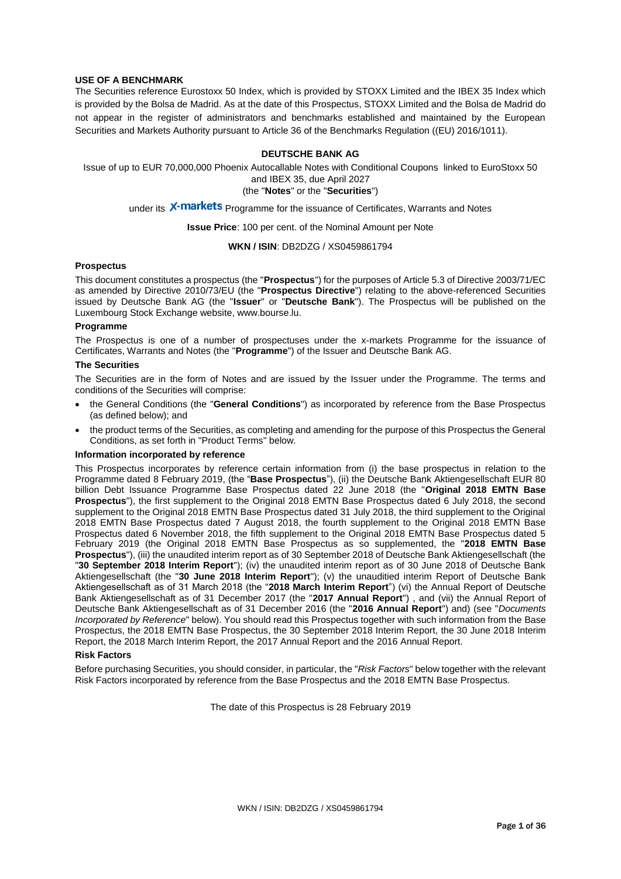#### **USE OF A BENCHMARK**

The Securities reference Eurostoxx 50 Index, which is provided by STOXX Limited and the IBEX 35 Index which is provided by the Bolsa de Madrid. As at the date of this Prospectus, STOXX Limited and the Bolsa de Madrid do not appear in the register of administrators and benchmarks established and maintained by the European Securities and Markets Authority pursuant to Article 36 of the Benchmarks Regulation ((EU) 2016/1011).

#### **DEUTSCHE BANK AG**

Issue of up to EUR 70,000,000 Phoenix Autocallable Notes with Conditional Coupons linked to EuroStoxx 50 and IBEX 35, due April 2027

(the "**Notes**" or the "**Securities**")

under its X-markets Programme for the issuance of Certificates, Warrants and Notes

**Issue Price**: 100 per cent. of the Nominal Amount per Note

#### **WKN / ISIN**: DB2DZG / XS0459861794

#### **Prospectus**

This document constitutes a prospectus (the "**Prospectus**") for the purposes of Article 5.3 of Directive 2003/71/EC as amended by Directive 2010/73/EU (the "**Prospectus Directive**") relating to the above-referenced Securities issued by Deutsche Bank AG (the "**Issuer**" or "**Deutsche Bank**"). The Prospectus will be published on the Luxembourg Stock Exchange website, www.bourse.lu.

#### **Programme**

The Prospectus is one of a number of prospectuses under the x-markets Programme for the issuance of Certificates, Warrants and Notes (the "**Programme**") of the Issuer and Deutsche Bank AG.

#### **The Securities**

The Securities are in the form of Notes and are issued by the Issuer under the Programme. The terms and conditions of the Securities will comprise:

- the General Conditions (the "**General Conditions**") as incorporated by reference from the Base Prospectus (as defined below); and
- the product terms of the Securities, as completing and amending for the purpose of this Prospectus the General Conditions, as set forth in "Product Terms" below.

#### **Information incorporated by reference**

This Prospectus incorporates by reference certain information from (i) the base prospectus in relation to the Programme dated 8 February 2019, (the "**Base Prospectus**"), (ii) the Deutsche Bank Aktiengesellschaft EUR 80 billion Debt Issuance Programme Base Prospectus dated 22 June 2018 (the "**Original 2018 EMTN Base Prospectus**"), the first supplement to the Original 2018 EMTN Base Prospectus dated 6 July 2018, the second supplement to the Original 2018 EMTN Base Prospectus dated 31 July 2018, the third supplement to the Original 2018 EMTN Base Prospectus dated 7 August 2018, the fourth supplement to the Original 2018 EMTN Base Prospectus dated 6 November 2018, the fifth supplement to the Original 2018 EMTN Base Prospectus dated 5 February 2019 (the Original 2018 EMTN Base Prospectus as so supplemented, the "**2018 EMTN Base Prospectus**"), (iii) the unaudited interim report as of 30 September 2018 of Deutsche Bank Aktiengesellschaft (the "**30 September 2018 Interim Report**"); (iv) the unaudited interim report as of 30 June 2018 of Deutsche Bank Aktiengesellschaft (the "**30 June 2018 Interim Report**"); (v) the unauditied interim Report of Deutsche Bank Aktiengesellschaft as of 31 March 2018 (the "**2018 March Interim Report**") (vi) the Annual Report of Deutsche Bank Aktiengesellschaft as of 31 December 2017 (the "**2017 Annual Report**") , and (vii) the Annual Report of Deutsche Bank Aktiengesellschaft as of 31 December 2016 (the "**2016 Annual Report**") and) (see "*Documents Incorporated by Reference*" below). You should read this Prospectus together with such information from the Base Prospectus, the 2018 EMTN Base Prospectus, the 30 September 2018 Interim Report, the 30 June 2018 Interim Report, the 2018 March Interim Report, the 2017 Annual Report and the 2016 Annual Report.

#### **Risk Factors**

Before purchasing Securities, you should consider, in particular, the "*Risk Factors*" below together with the relevant Risk Factors incorporated by reference from the Base Prospectus and the 2018 EMTN Base Prospectus.

The date of this Prospectus is 28 February 2019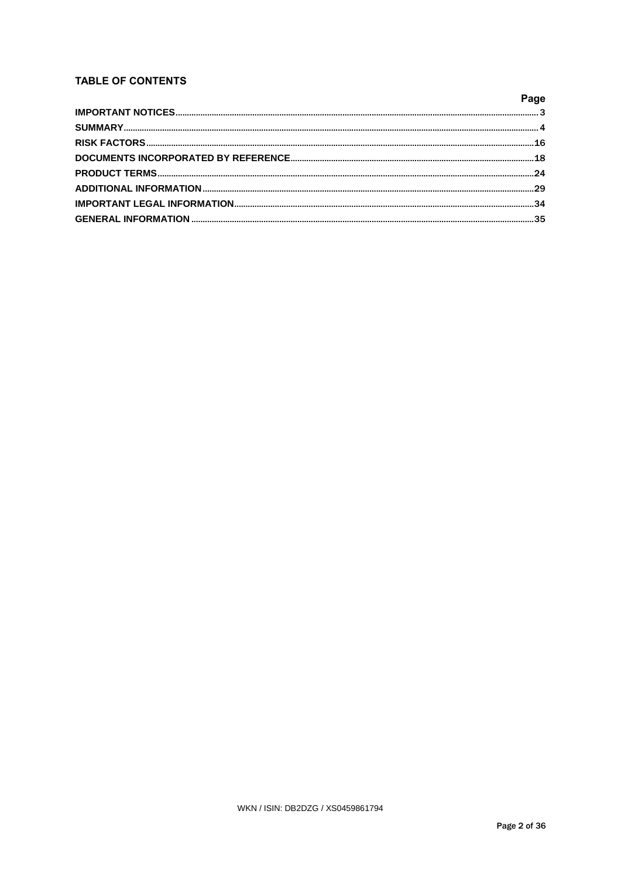# **TABLE OF CONTENTS**

| Page |
|------|
|      |
|      |
|      |
|      |
|      |
|      |
|      |
|      |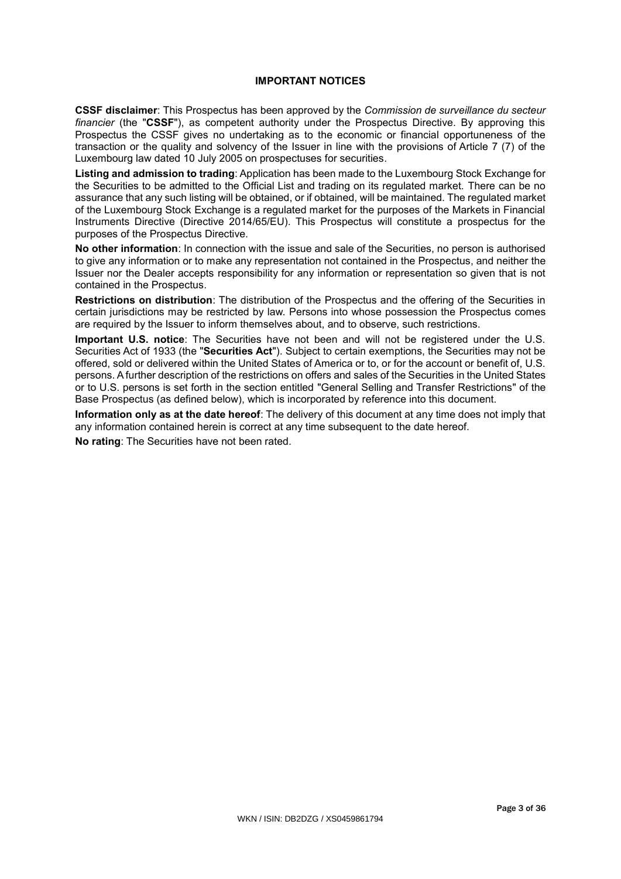# **IMPORTANT NOTICES**

**CSSF disclaimer**: This Prospectus has been approved by the *Commission de surveillance du secteur financier* (the "**CSSF**"), as competent authority under the Prospectus Directive. By approving this Prospectus the CSSF gives no undertaking as to the economic or financial opportuneness of the transaction or the quality and solvency of the Issuer in line with the provisions of Article 7 (7) of the Luxembourg law dated 10 July 2005 on prospectuses for securities.

**Listing and admission to trading**: Application has been made to the Luxembourg Stock Exchange for the Securities to be admitted to the Official List and trading on its regulated market. There can be no assurance that any such listing will be obtained, or if obtained, will be maintained. The regulated market of the Luxembourg Stock Exchange is a regulated market for the purposes of the Markets in Financial Instruments Directive (Directive 2014/65/EU). This Prospectus will constitute a prospectus for the purposes of the Prospectus Directive.

**No other information**: In connection with the issue and sale of the Securities, no person is authorised to give any information or to make any representation not contained in the Prospectus, and neither the Issuer nor the Dealer accepts responsibility for any information or representation so given that is not contained in the Prospectus.

**Restrictions on distribution**: The distribution of the Prospectus and the offering of the Securities in certain jurisdictions may be restricted by law. Persons into whose possession the Prospectus comes are required by the Issuer to inform themselves about, and to observe, such restrictions.

**Important U.S. notice**: The Securities have not been and will not be registered under the U.S. Securities Act of 1933 (the "**Securities Act**"). Subject to certain exemptions, the Securities may not be offered, sold or delivered within the United States of America or to, or for the account or benefit of, U.S. persons. A further description of the restrictions on offers and sales of the Securities in the United States or to U.S. persons is set forth in the section entitled "General Selling and Transfer Restrictions" of the Base Prospectus (as defined below), which is incorporated by reference into this document.

**Information only as at the date hereof**: The delivery of this document at any time does not imply that any information contained herein is correct at any time subsequent to the date hereof.

**No rating**: The Securities have not been rated.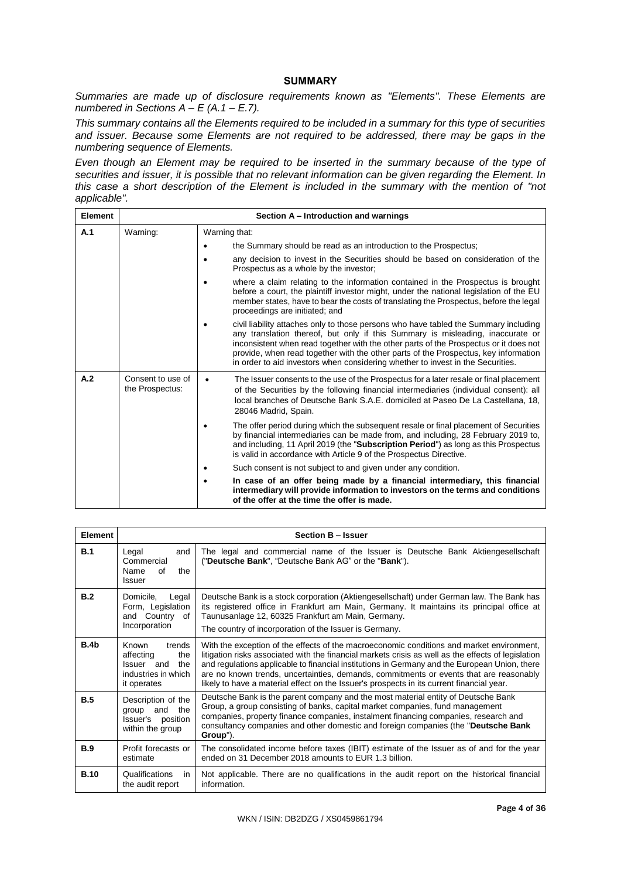## **SUMMARY**

*Summaries are made up of disclosure requirements known as "Elements". These Elements are numbered in Sections A – E (A.1 – E.7).*

*This summary contains all the Elements required to be included in a summary for this type of securities and issuer. Because some Elements are not required to be addressed, there may be gaps in the numbering sequence of Elements.* 

*Even though an Element may be required to be inserted in the summary because of the type of securities and issuer, it is possible that no relevant information can be given regarding the Element. In this case a short description of the Element is included in the summary with the mention of "not applicable".*

| <b>Element</b> | Section A – Introduction and warnings |                                                                                                                                                                                                                                                                                                                                                                                                                                           |  |  |  |  |
|----------------|---------------------------------------|-------------------------------------------------------------------------------------------------------------------------------------------------------------------------------------------------------------------------------------------------------------------------------------------------------------------------------------------------------------------------------------------------------------------------------------------|--|--|--|--|
| A.1            | Warning:                              | Warning that:                                                                                                                                                                                                                                                                                                                                                                                                                             |  |  |  |  |
|                |                                       | the Summary should be read as an introduction to the Prospectus;                                                                                                                                                                                                                                                                                                                                                                          |  |  |  |  |
|                |                                       | any decision to invest in the Securities should be based on consideration of the<br>Prospectus as a whole by the investor;                                                                                                                                                                                                                                                                                                                |  |  |  |  |
|                |                                       | where a claim relating to the information contained in the Prospectus is brought<br>before a court, the plaintiff investor might, under the national legislation of the EU<br>member states, have to bear the costs of translating the Prospectus, before the legal<br>proceedings are initiated; and                                                                                                                                     |  |  |  |  |
|                |                                       | civil liability attaches only to those persons who have tabled the Summary including<br>any translation thereof, but only if this Summary is misleading, inaccurate or<br>inconsistent when read together with the other parts of the Prospectus or it does not<br>provide, when read together with the other parts of the Prospectus, key information<br>in order to aid investors when considering whether to invest in the Securities. |  |  |  |  |
| A.2            | Consent to use of<br>the Prospectus:  | The Issuer consents to the use of the Prospectus for a later resale or final placement<br>$\bullet$<br>of the Securities by the following financial intermediaries (individual consent): all<br>local branches of Deutsche Bank S.A.E. domiciled at Paseo De La Castellana, 18,<br>28046 Madrid, Spain.                                                                                                                                   |  |  |  |  |
|                |                                       | The offer period during which the subsequent resale or final placement of Securities<br>by financial intermediaries can be made from, and including, 28 February 2019 to,<br>and including, 11 April 2019 (the "Subscription Period") as long as this Prospectus<br>is valid in accordance with Article 9 of the Prospectus Directive.                                                                                                    |  |  |  |  |
|                |                                       | Such consent is not subject to and given under any condition.                                                                                                                                                                                                                                                                                                                                                                             |  |  |  |  |
|                |                                       | In case of an offer being made by a financial intermediary, this financial<br>intermediary will provide information to investors on the terms and conditions<br>of the offer at the time the offer is made.                                                                                                                                                                                                                               |  |  |  |  |

| Element          |                                                                                                       | <b>Section B - Issuer</b>                                                                                                                                                                                                                                                                                                                                                                                                                                                                |
|------------------|-------------------------------------------------------------------------------------------------------|------------------------------------------------------------------------------------------------------------------------------------------------------------------------------------------------------------------------------------------------------------------------------------------------------------------------------------------------------------------------------------------------------------------------------------------------------------------------------------------|
| B.1              | Legal<br>and<br>Commercial<br>Name<br>the<br>Ωf<br>Issuer                                             | The legal and commercial name of the Issuer is Deutsche Bank Aktiengesellschaft<br>("Deutsche Bank", "Deutsche Bank AG" or the "Bank").                                                                                                                                                                                                                                                                                                                                                  |
| B.2              | Domicile,<br>Legal<br>Form, Legislation<br>and Country of<br>Incorporation                            | Deutsche Bank is a stock corporation (Aktiengesellschaft) under German law. The Bank has<br>its registered office in Frankfurt am Main, Germany. It maintains its principal office at<br>Taunusanlage 12, 60325 Frankfurt am Main, Germany.<br>The country of incorporation of the Issuer is Germany.                                                                                                                                                                                    |
| B.4 <sub>b</sub> | <b>Known</b><br>trends<br>affecting<br>the<br>Issuer and<br>the<br>industries in which<br>it operates | With the exception of the effects of the macroeconomic conditions and market environment,<br>litigation risks associated with the financial markets crisis as well as the effects of legislation<br>and regulations applicable to financial institutions in Germany and the European Union, there<br>are no known trends, uncertainties, demands, commitments or events that are reasonably<br>likely to have a material effect on the Issuer's prospects in its current financial year. |
| B.5              | Description of the<br>and<br>the<br>group<br>Issuer's position<br>within the group                    | Deutsche Bank is the parent company and the most material entity of Deutsche Bank<br>Group, a group consisting of banks, capital market companies, fund management<br>companies, property finance companies, instalment financing companies, research and<br>consultancy companies and other domestic and foreign companies (the "Deutsche Bank<br>Group").                                                                                                                              |
| <b>B.9</b>       | Profit forecasts or<br>estimate                                                                       | The consolidated income before taxes (IBIT) estimate of the Issuer as of and for the year<br>ended on 31 December 2018 amounts to EUR 1.3 billion.                                                                                                                                                                                                                                                                                                                                       |
| <b>B.10</b>      | Qualifications<br>in<br>the audit report                                                              | Not applicable. There are no qualifications in the audit report on the historical financial<br>information.                                                                                                                                                                                                                                                                                                                                                                              |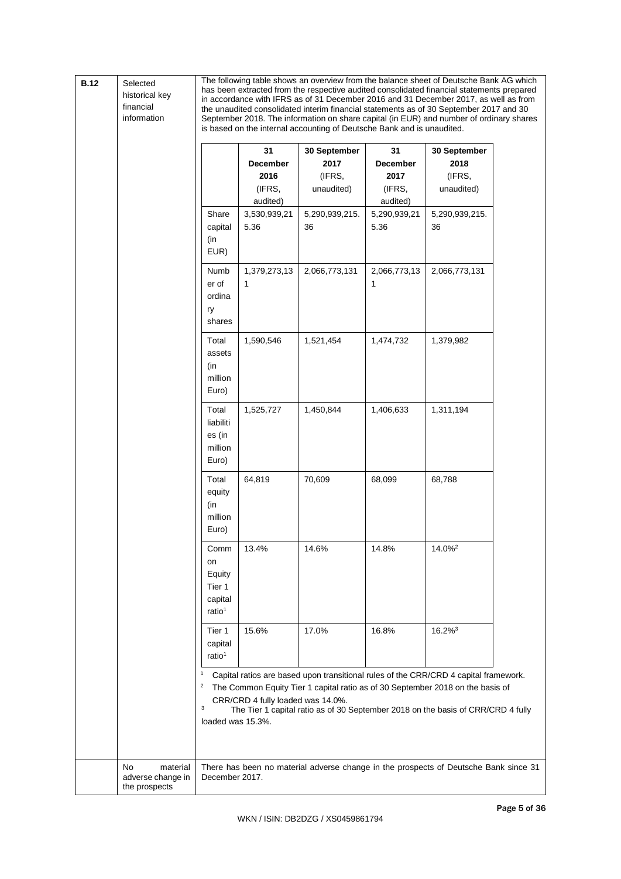| <b>B.12</b> | Selected       |
|-------------|----------------|
|             | historical key |
|             | financial      |

information

The following table shows an overview from the balance sheet of Deutsche Bank AG which has been extracted from the respective audited consolidated financial statements prepared in accordance with IFRS as of 31 December 2016 and 31 December 2017, as well as from the unaudited consolidated interim financial statements as of 30 September 2017 and 30 September 2018. The information on share capital (in EUR) and number of ordinary shares is based on the internal accounting of Deutsche Bank and is unaudited.

|                                                      |                                                                 | 31                                     | 30 September                 | 31                                     | 30 September                                                                                                                                                                                                                                               |
|------------------------------------------------------|-----------------------------------------------------------------|----------------------------------------|------------------------------|----------------------------------------|------------------------------------------------------------------------------------------------------------------------------------------------------------------------------------------------------------------------------------------------------------|
|                                                      |                                                                 | December<br>2016<br>(IFRS,<br>audited) | 2017<br>(IFRS,<br>unaudited) | December<br>2017<br>(IFRS,<br>audited) | 2018<br>(IFRS,<br>unaudited)                                                                                                                                                                                                                               |
|                                                      | Share<br>capital<br>(in<br>EUR)                                 | 3,530,939,21<br>5.36                   | 5,290,939,215.<br>36         | 5,290,939,21<br>5.36                   | 5,290,939,215.<br>36                                                                                                                                                                                                                                       |
|                                                      | Numb<br>er of<br>ordina<br>ry<br>shares                         | 1,379,273,13<br>1                      | 2,066,773,131                | 2,066,773,13<br>1                      | 2,066,773,131                                                                                                                                                                                                                                              |
|                                                      | Total<br>assets<br>(in<br>million<br>Euro)                      | 1,590,546                              | 1,521,454                    | 1,474,732                              | 1,379,982                                                                                                                                                                                                                                                  |
|                                                      | Total<br>liabiliti<br>es (in<br>million<br>Euro)                | 1,525,727                              | 1,450,844                    | 1,406,633                              | 1,311,194                                                                                                                                                                                                                                                  |
|                                                      | Total<br>equity<br>(in<br>million<br>Euro)                      | 64,819                                 | 70,609                       | 68,099                                 | 68,788                                                                                                                                                                                                                                                     |
|                                                      | Comm<br>on<br>Equity<br>Tier 1<br>capital<br>ratio <sup>1</sup> | 13.4%                                  | 14.6%                        | 14.8%                                  | 14.0% <sup>2</sup>                                                                                                                                                                                                                                         |
|                                                      | Tier 1<br>capital<br>ratio <sup>1</sup>                         | 15.6%                                  | 17.0%                        | 16.8%                                  | $16.2\%$ <sup>3</sup>                                                                                                                                                                                                                                      |
|                                                      | 1<br>$\overline{\mathbf{c}}$<br>3<br>loaded was 15.3%.          | CRR/CRD 4 fully loaded was 14.0%.      |                              |                                        | Capital ratios are based upon transitional rules of the CRR/CRD 4 capital framework.<br>The Common Equity Tier 1 capital ratio as of 30 September 2018 on the basis of<br>The Tier 1 capital ratio as of 30 September 2018 on the basis of CRR/CRD 4 fully |
| No<br>material<br>adverse change in<br>the prospects | December 2017.                                                  |                                        |                              |                                        | There has been no material adverse change in the prospects of Deutsche Bank since 31                                                                                                                                                                       |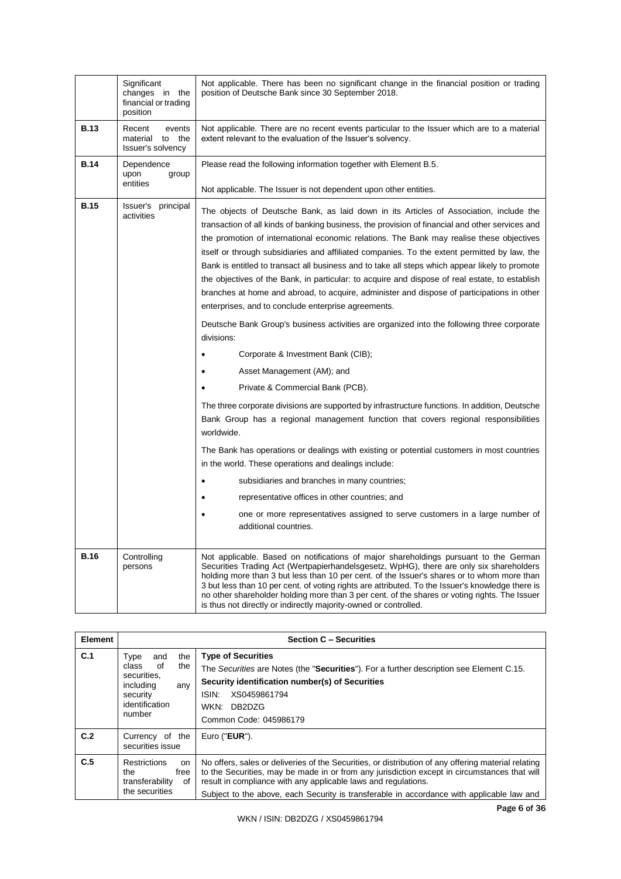|             | Significant<br>changes in the<br>financial or trading<br>position | Not applicable. There has been no significant change in the financial position or trading<br>position of Deutsche Bank since 30 September 2018.                                                                                                                                                                                                                                                                                                                                                                                                                                                                                                                                                                                                                                                                                                                                                                                                                                                                                                                                                                                                                                                                                                                                                                                                                                                                                                                                                                                                         |
|-------------|-------------------------------------------------------------------|---------------------------------------------------------------------------------------------------------------------------------------------------------------------------------------------------------------------------------------------------------------------------------------------------------------------------------------------------------------------------------------------------------------------------------------------------------------------------------------------------------------------------------------------------------------------------------------------------------------------------------------------------------------------------------------------------------------------------------------------------------------------------------------------------------------------------------------------------------------------------------------------------------------------------------------------------------------------------------------------------------------------------------------------------------------------------------------------------------------------------------------------------------------------------------------------------------------------------------------------------------------------------------------------------------------------------------------------------------------------------------------------------------------------------------------------------------------------------------------------------------------------------------------------------------|
| <b>B.13</b> | Recent<br>events<br>material to the<br>Issuer's solvency          | Not applicable. There are no recent events particular to the Issuer which are to a material<br>extent relevant to the evaluation of the Issuer's solvency.                                                                                                                                                                                                                                                                                                                                                                                                                                                                                                                                                                                                                                                                                                                                                                                                                                                                                                                                                                                                                                                                                                                                                                                                                                                                                                                                                                                              |
| <b>B.14</b> | Dependence<br>upon<br>group<br>entities                           | Please read the following information together with Element B.5.<br>Not applicable. The Issuer is not dependent upon other entities.                                                                                                                                                                                                                                                                                                                                                                                                                                                                                                                                                                                                                                                                                                                                                                                                                                                                                                                                                                                                                                                                                                                                                                                                                                                                                                                                                                                                                    |
| <b>B.15</b> | Issuer's principal<br>activities                                  | The objects of Deutsche Bank, as laid down in its Articles of Association, include the<br>transaction of all kinds of banking business, the provision of financial and other services and<br>the promotion of international economic relations. The Bank may realise these objectives<br>itself or through subsidiaries and affiliated companies. To the extent permitted by law, the<br>Bank is entitled to transact all business and to take all steps which appear likely to promote<br>the objectives of the Bank, in particular: to acquire and dispose of real estate, to establish<br>branches at home and abroad, to acquire, administer and dispose of participations in other<br>enterprises, and to conclude enterprise agreements.<br>Deutsche Bank Group's business activities are organized into the following three corporate<br>divisions:<br>Corporate & Investment Bank (CIB);<br>Asset Management (AM); and<br>Private & Commercial Bank (PCB).<br>The three corporate divisions are supported by infrastructure functions. In addition, Deutsche<br>Bank Group has a regional management function that covers regional responsibilities<br>worldwide.<br>The Bank has operations or dealings with existing or potential customers in most countries<br>in the world. These operations and dealings include:<br>subsidiaries and branches in many countries;<br>$\bullet$<br>representative offices in other countries; and<br>one or more representatives assigned to serve customers in a large number of<br>additional countries. |
| <b>B.16</b> | Controlling<br>persons                                            | Not applicable. Based on notifications of major shareholdings pursuant to the German<br>Securities Trading Act (Wertpapierhandelsgesetz, WpHG), there are only six shareholders<br>holding more than 3 but less than 10 per cent. of the Issuer's shares or to whom more than<br>3 but less than 10 per cent. of voting rights are attributed. To the Issuer's knowledge there is<br>no other shareholder holding more than 3 per cent. of the shares or voting rights. The Issuer<br>is thus not directly or indirectly majority-owned or controlled.                                                                                                                                                                                                                                                                                                                                                                                                                                                                                                                                                                                                                                                                                                                                                                                                                                                                                                                                                                                                  |

| <b>Element</b> |                                                                                                                     | <b>Section C - Securities</b>                                                                                                                                                                                                                                                                                                                                      |  |  |  |  |
|----------------|---------------------------------------------------------------------------------------------------------------------|--------------------------------------------------------------------------------------------------------------------------------------------------------------------------------------------------------------------------------------------------------------------------------------------------------------------------------------------------------------------|--|--|--|--|
| C.1            | and<br>the<br>Type<br>the<br>of<br>class<br>securities.<br>including<br>any<br>security<br>identification<br>number | <b>Type of Securities</b><br>The Securities are Notes (the "Securities"). For a further description see Element C.15.<br>Security identification number(s) of Securities<br>ISIN.<br>XS0459861794<br>WKN: DB2DZG<br>Common Code: 045986179                                                                                                                         |  |  |  |  |
| C.2            | Currency of the<br>securities issue                                                                                 | Euro (" <b>EUR</b> ").                                                                                                                                                                                                                                                                                                                                             |  |  |  |  |
| C.5            | <b>Restrictions</b><br>on<br>the<br>free<br>transferability<br>of<br>the securities                                 | No offers, sales or deliveries of the Securities, or distribution of any offering material relating<br>to the Securities, may be made in or from any jurisdiction except in circumstances that will<br>result in compliance with any applicable laws and regulations.<br>Subject to the above, each Security is transferable in accordance with applicable law and |  |  |  |  |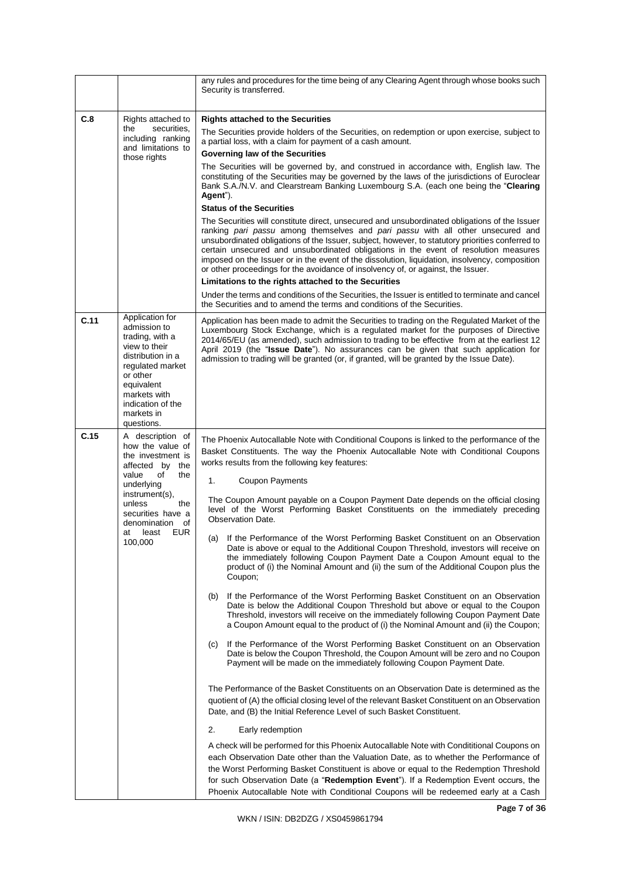|      |                                                                                                                                                                                                                              | any rules and procedures for the time being of any Clearing Agent through whose books such<br>Security is transferred.                                                                                                                                                                                                                                                                                                                                                                                                                                                                                                                                                                                                                                                                                                                                                                                                                                                                                                                                                                                                                                                                                                                                                                                                                                                                                                                                                                                                                                                                                                                                                                                                                                                                                                                                                                                                                                                                                                                                                                                                                                                                                                 |
|------|------------------------------------------------------------------------------------------------------------------------------------------------------------------------------------------------------------------------------|------------------------------------------------------------------------------------------------------------------------------------------------------------------------------------------------------------------------------------------------------------------------------------------------------------------------------------------------------------------------------------------------------------------------------------------------------------------------------------------------------------------------------------------------------------------------------------------------------------------------------------------------------------------------------------------------------------------------------------------------------------------------------------------------------------------------------------------------------------------------------------------------------------------------------------------------------------------------------------------------------------------------------------------------------------------------------------------------------------------------------------------------------------------------------------------------------------------------------------------------------------------------------------------------------------------------------------------------------------------------------------------------------------------------------------------------------------------------------------------------------------------------------------------------------------------------------------------------------------------------------------------------------------------------------------------------------------------------------------------------------------------------------------------------------------------------------------------------------------------------------------------------------------------------------------------------------------------------------------------------------------------------------------------------------------------------------------------------------------------------------------------------------------------------------------------------------------------------|
| C.8  | Rights attached to<br>securities.<br>the<br>including ranking<br>and limitations to<br>those rights                                                                                                                          | <b>Rights attached to the Securities</b><br>The Securities provide holders of the Securities, on redemption or upon exercise, subject to<br>a partial loss, with a claim for payment of a cash amount.<br>Governing law of the Securities<br>The Securities will be governed by, and construed in accordance with, English law. The<br>constituting of the Securities may be governed by the laws of the jurisdictions of Euroclear<br>Bank S.A./N.V. and Clearstream Banking Luxembourg S.A. (each one being the "Clearing<br>Agent").<br><b>Status of the Securities</b><br>The Securities will constitute direct, unsecured and unsubordinated obligations of the Issuer<br>ranking pari passu among themselves and pari passu with all other unsecured and<br>unsubordinated obligations of the Issuer, subject, however, to statutory priorities conferred to<br>certain unsecured and unsubordinated obligations in the event of resolution measures<br>imposed on the Issuer or in the event of the dissolution, liquidation, insolvency, composition<br>or other proceedings for the avoidance of insolvency of, or against, the Issuer.<br>Limitations to the rights attached to the Securities<br>Under the terms and conditions of the Securities, the Issuer is entitled to terminate and cancel<br>the Securities and to amend the terms and conditions of the Securities.                                                                                                                                                                                                                                                                                                                                                                                                                                                                                                                                                                                                                                                                                                                                                                                                                                |
| C.11 | Application for<br>admission to<br>trading, with a<br>view to their<br>distribution in a<br>regulated market<br>or other<br>equivalent<br>markets with<br>indication of the<br>markets in<br>questions.                      | Application has been made to admit the Securities to trading on the Regulated Market of the<br>Luxembourg Stock Exchange, which is a regulated market for the purposes of Directive<br>2014/65/EU (as amended), such admission to trading to be effective from at the earliest 12<br>April 2019 (the "Issue Date"). No assurances can be given that such application for<br>admission to trading will be granted (or, if granted, will be granted by the Issue Date).                                                                                                                                                                                                                                                                                                                                                                                                                                                                                                                                                                                                                                                                                                                                                                                                                                                                                                                                                                                                                                                                                                                                                                                                                                                                                                                                                                                                                                                                                                                                                                                                                                                                                                                                                  |
| C.15 | A description of<br>how the value of<br>the investment is<br>affected by the<br>value<br>of<br>the<br>underlying<br>instrument(s),<br>unless<br>the<br>securities have a<br>denomination of<br>least<br>EUR<br>at<br>100,000 | The Phoenix Autocallable Note with Conditional Coupons is linked to the performance of the<br>Basket Constituents. The way the Phoenix Autocallable Note with Conditional Coupons<br>works results from the following key features:<br>1.<br><b>Coupon Payments</b><br>The Coupon Amount payable on a Coupon Payment Date depends on the official closing<br>level of the Worst Performing Basket Constituents on the immediately preceding<br><b>Observation Date.</b><br>(a) If the Performance of the Worst Performing Basket Constituent on an Observation<br>Date is above or equal to the Additional Coupon Threshold, investors will receive on<br>the immediately following Coupon Payment Date a Coupon Amount equal to the<br>product of (i) the Nominal Amount and (ii) the sum of the Additional Coupon plus the<br>Coupon;<br>If the Performance of the Worst Performing Basket Constituent on an Observation<br>(b)<br>Date is below the Additional Coupon Threshold but above or equal to the Coupon<br>Threshold, investors will receive on the immediately following Coupon Payment Date<br>a Coupon Amount equal to the product of (i) the Nominal Amount and (ii) the Coupon;<br>If the Performance of the Worst Performing Basket Constituent on an Observation<br>(C)<br>Date is below the Coupon Threshold, the Coupon Amount will be zero and no Coupon<br>Payment will be made on the immediately following Coupon Payment Date.<br>The Performance of the Basket Constituents on an Observation Date is determined as the<br>quotient of (A) the official closing level of the relevant Basket Constituent on an Observation<br>Date, and (B) the Initial Reference Level of such Basket Constituent.<br>2.<br>Early redemption<br>A check will be performed for this Phoenix Autocallable Note with Condititional Coupons on<br>each Observation Date other than the Valuation Date, as to whether the Performance of<br>the Worst Performing Basket Constituent is above or equal to the Redemption Threshold<br>for such Observation Date (a "Redemption Event"). If a Redemption Event occurs, the<br>Phoenix Autocallable Note with Conditional Coupons will be redeemed early at a Cash |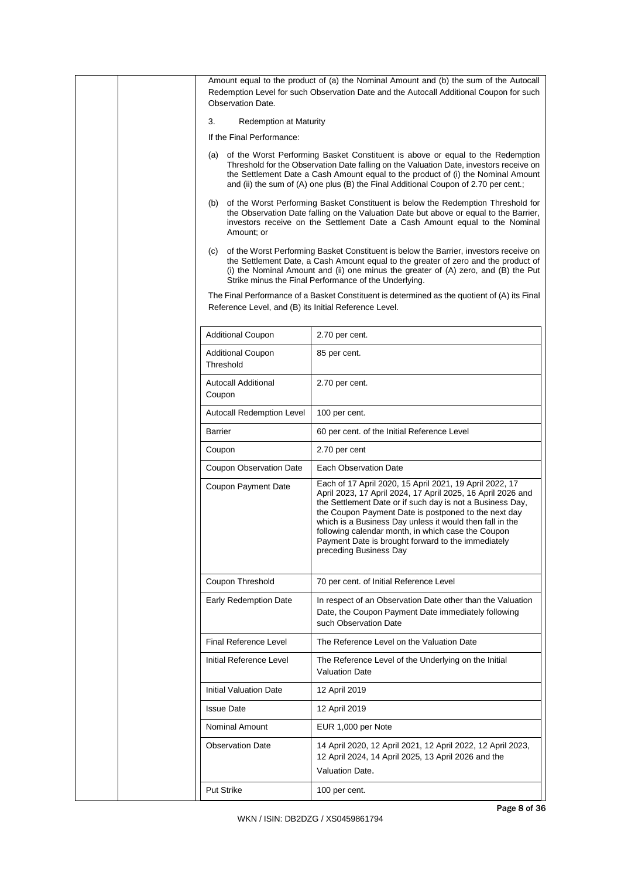|  | Observation Date.                                          | Amount equal to the product of (a) the Nominal Amount and (b) the sum of the Autocall<br>Redemption Level for such Observation Date and the Autocall Additional Coupon for such                                                                                                                                                                                                                                                               |
|--|------------------------------------------------------------|-----------------------------------------------------------------------------------------------------------------------------------------------------------------------------------------------------------------------------------------------------------------------------------------------------------------------------------------------------------------------------------------------------------------------------------------------|
|  | 3.                                                         |                                                                                                                                                                                                                                                                                                                                                                                                                                               |
|  | <b>Redemption at Maturity</b><br>If the Final Performance: |                                                                                                                                                                                                                                                                                                                                                                                                                                               |
|  |                                                            |                                                                                                                                                                                                                                                                                                                                                                                                                                               |
|  |                                                            | (a) of the Worst Performing Basket Constituent is above or equal to the Redemption<br>Threshold for the Observation Date falling on the Valuation Date, investors receive on<br>the Settlement Date a Cash Amount equal to the product of (i) the Nominal Amount<br>and (ii) the sum of (A) one plus (B) the Final Additional Coupon of 2.70 per cent.;                                                                                       |
|  | (b)<br>Amount; or                                          | of the Worst Performing Basket Constituent is below the Redemption Threshold for<br>the Observation Date falling on the Valuation Date but above or equal to the Barrier,<br>investors receive on the Settlement Date a Cash Amount equal to the Nominal                                                                                                                                                                                      |
|  | (C)                                                        | of the Worst Performing Basket Constituent is below the Barrier, investors receive on<br>the Settlement Date, a Cash Amount equal to the greater of zero and the product of<br>(i) the Nominal Amount and (ii) one minus the greater of (A) zero, and (B) the Put<br>Strike minus the Final Performance of the Underlying.                                                                                                                    |
|  | Reference Level, and (B) its Initial Reference Level.      | The Final Performance of a Basket Constituent is determined as the quotient of (A) its Final                                                                                                                                                                                                                                                                                                                                                  |
|  | <b>Additional Coupon</b>                                   | 2.70 per cent.                                                                                                                                                                                                                                                                                                                                                                                                                                |
|  | <b>Additional Coupon</b><br>Threshold                      | 85 per cent.                                                                                                                                                                                                                                                                                                                                                                                                                                  |
|  | <b>Autocall Additional</b><br>Coupon                       | 2.70 per cent.                                                                                                                                                                                                                                                                                                                                                                                                                                |
|  | Autocall Redemption Level                                  | 100 per cent.                                                                                                                                                                                                                                                                                                                                                                                                                                 |
|  | Barrier                                                    | 60 per cent. of the Initial Reference Level                                                                                                                                                                                                                                                                                                                                                                                                   |
|  | Coupon                                                     | 2.70 per cent                                                                                                                                                                                                                                                                                                                                                                                                                                 |
|  | <b>Coupon Observation Date</b>                             | Each Observation Date                                                                                                                                                                                                                                                                                                                                                                                                                         |
|  | Coupon Payment Date                                        | Each of 17 April 2020, 15 April 2021, 19 April 2022, 17<br>April 2023, 17 April 2024, 17 April 2025, 16 April 2026 and<br>the Settlement Date or if such day is not a Business Day,<br>the Coupon Payment Date is postponed to the next day<br>which is a Business Day unless it would then fall in the<br>following calendar month, in which case the Coupon<br>Payment Date is brought forward to the immediately<br>preceding Business Day |
|  | Coupon Threshold                                           | 70 per cent. of Initial Reference Level                                                                                                                                                                                                                                                                                                                                                                                                       |
|  | Early Redemption Date                                      | In respect of an Observation Date other than the Valuation<br>Date, the Coupon Payment Date immediately following<br>such Observation Date                                                                                                                                                                                                                                                                                                    |
|  | Final Reference Level                                      | The Reference Level on the Valuation Date                                                                                                                                                                                                                                                                                                                                                                                                     |
|  | Initial Reference Level                                    | The Reference Level of the Underlying on the Initial<br><b>Valuation Date</b>                                                                                                                                                                                                                                                                                                                                                                 |
|  | <b>Initial Valuation Date</b>                              | 12 April 2019                                                                                                                                                                                                                                                                                                                                                                                                                                 |
|  | <b>Issue Date</b>                                          | 12 April 2019                                                                                                                                                                                                                                                                                                                                                                                                                                 |
|  | <b>Nominal Amount</b>                                      | EUR 1,000 per Note                                                                                                                                                                                                                                                                                                                                                                                                                            |
|  | <b>Observation Date</b>                                    | 14 April 2020, 12 April 2021, 12 April 2022, 12 April 2023,<br>12 April 2024, 14 April 2025, 13 April 2026 and the<br>Valuation Date.                                                                                                                                                                                                                                                                                                         |
|  | <b>Put Strike</b>                                          | 100 per cent.                                                                                                                                                                                                                                                                                                                                                                                                                                 |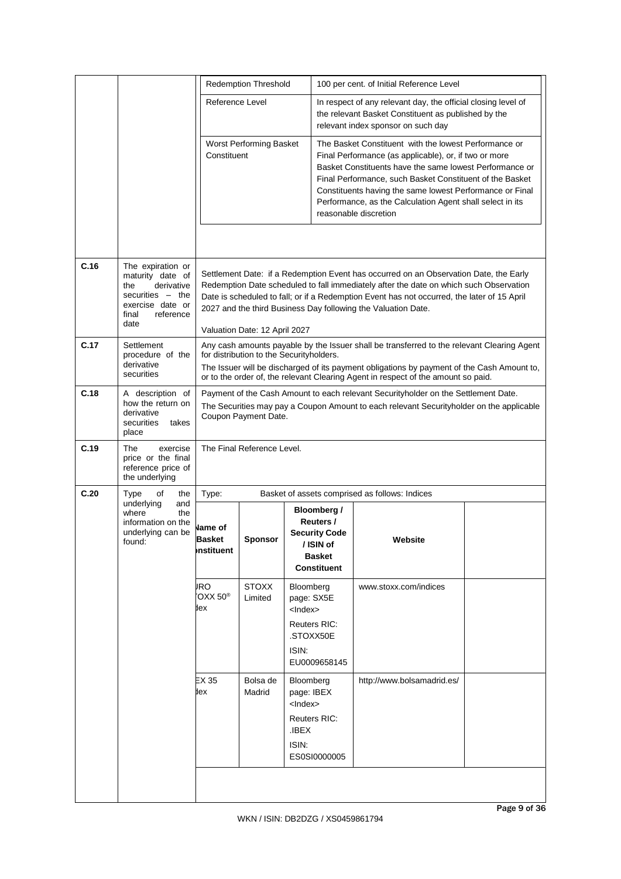|      |                                                                                                                                    |                                              | <b>Redemption Threshold</b>                    |                                                                                                             | 100 per cent. of Initial Reference Level                                                                                                                                                                                                                                                                                                                                                |  |  |
|------|------------------------------------------------------------------------------------------------------------------------------------|----------------------------------------------|------------------------------------------------|-------------------------------------------------------------------------------------------------------------|-----------------------------------------------------------------------------------------------------------------------------------------------------------------------------------------------------------------------------------------------------------------------------------------------------------------------------------------------------------------------------------------|--|--|
|      |                                                                                                                                    | Reference Level                              |                                                |                                                                                                             | In respect of any relevant day, the official closing level of<br>the relevant Basket Constituent as published by the<br>relevant index sponsor on such day                                                                                                                                                                                                                              |  |  |
|      |                                                                                                                                    | Constituent                                  | Worst Performing Basket                        |                                                                                                             | The Basket Constituent with the lowest Performance or<br>Final Performance (as applicable), or, if two or more<br>Basket Constituents have the same lowest Performance or<br>Final Performance, such Basket Constituent of the Basket<br>Constituents having the same lowest Performance or Final<br>Performance, as the Calculation Agent shall select in its<br>reasonable discretion |  |  |
|      |                                                                                                                                    |                                              |                                                |                                                                                                             |                                                                                                                                                                                                                                                                                                                                                                                         |  |  |
| C.16 | The expiration or<br>maturity date of<br>the<br>derivative<br>securities $-$ the<br>exercise date or<br>reference<br>final<br>date |                                              | Valuation Date: 12 April 2027                  |                                                                                                             | Settlement Date: if a Redemption Event has occurred on an Observation Date, the Early<br>Redemption Date scheduled to fall immediately after the date on which such Observation<br>Date is scheduled to fall; or if a Redemption Event has not occurred, the later of 15 April<br>2027 and the third Business Day following the Valuation Date.                                         |  |  |
| C.17 | Settlement<br>procedure of the<br>derivative<br>securities                                                                         |                                              |                                                | for distribution to the Securityholders.                                                                    | Any cash amounts payable by the Issuer shall be transferred to the relevant Clearing Agent<br>The Issuer will be discharged of its payment obligations by payment of the Cash Amount to,<br>or to the order of, the relevant Clearing Agent in respect of the amount so paid.                                                                                                           |  |  |
| C.18 | A description of<br>how the return on<br>derivative<br>securities<br>takes<br>place                                                |                                              | Coupon Payment Date.                           |                                                                                                             | Payment of the Cash Amount to each relevant Securityholder on the Settlement Date.<br>The Securities may pay a Coupon Amount to each relevant Securityholder on the applicable                                                                                                                                                                                                          |  |  |
| C.19 | exercise<br>The<br>price or the final<br>reference price of<br>the underlying                                                      |                                              | The Final Reference Level.                     |                                                                                                             |                                                                                                                                                                                                                                                                                                                                                                                         |  |  |
| C.20 | Type<br>of<br>the<br>underlying<br>and                                                                                             | Type:                                        | Basket of assets comprised as follows: Indices |                                                                                                             |                                                                                                                                                                                                                                                                                                                                                                                         |  |  |
|      | where<br>the<br>information on the<br>underlying can be<br>found:                                                                  | <b>Name of</b><br><b>Basket</b><br>nstituent | <b>Sponsor</b>                                 | <b>Bloomberg /</b><br>Reuters /<br><b>Security Code</b><br>/ ISIN of<br><b>Basket</b><br><b>Constituent</b> | Website                                                                                                                                                                                                                                                                                                                                                                                 |  |  |
|      |                                                                                                                                    | <b>JRO</b><br>$OXX 50^{\circledcirc}$<br>lex | <b>STOXX</b><br>Limited                        | Bloomberg<br>page: SX5E<br><lndex><br/>Reuters RIC:<br/>.STOXX50E<br/>ISIN:<br/>EU0009658145</lndex>        | www.stoxx.com/indices                                                                                                                                                                                                                                                                                                                                                                   |  |  |
|      |                                                                                                                                    | EX35<br>łex                                  | Bolsa de<br>Madrid                             | Bloomberg<br>page: IBEX<br>$<$ Index $>$<br><b>Reuters RIC:</b><br>.IBEX<br>ISIN:<br>ES0SI0000005           | http://www.bolsamadrid.es/                                                                                                                                                                                                                                                                                                                                                              |  |  |
|      |                                                                                                                                    |                                              |                                                |                                                                                                             |                                                                                                                                                                                                                                                                                                                                                                                         |  |  |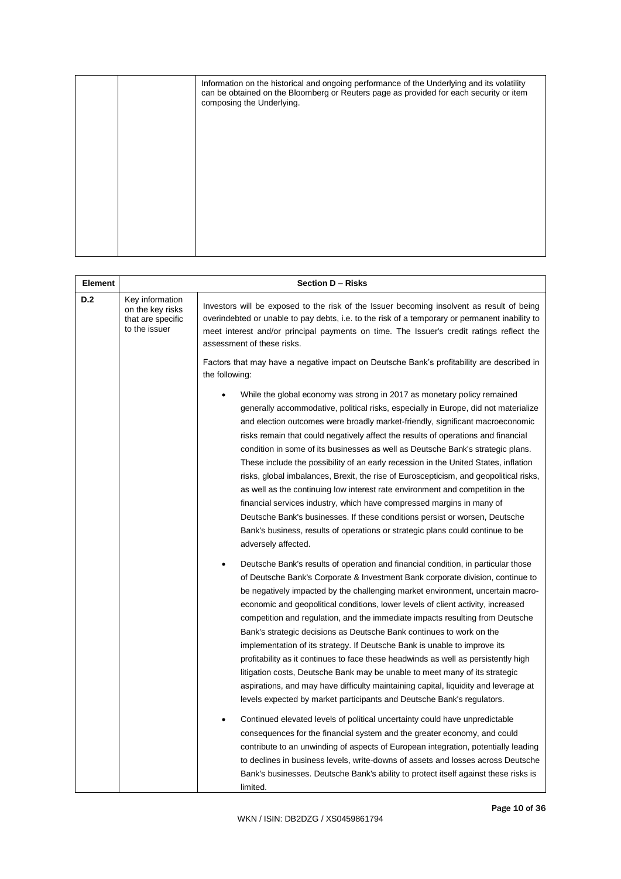|  | Information on the historical and ongoing performance of the Underlying and its volatility<br>can be obtained on the Bloomberg or Reuters page as provided for each security or item<br>composing the Underlying. |
|--|-------------------------------------------------------------------------------------------------------------------------------------------------------------------------------------------------------------------|
|  |                                                                                                                                                                                                                   |
|  |                                                                                                                                                                                                                   |
|  |                                                                                                                                                                                                                   |
|  |                                                                                                                                                                                                                   |

| Element |                                                                           | Section D - Risks                                                                                                                                                                                                                                                                                                                                                                                                                                                                                                                                                                                                                                                                                                                                                                                                                                                                                                                                                                                                                                                                                                                                                                                                                                          |
|---------|---------------------------------------------------------------------------|------------------------------------------------------------------------------------------------------------------------------------------------------------------------------------------------------------------------------------------------------------------------------------------------------------------------------------------------------------------------------------------------------------------------------------------------------------------------------------------------------------------------------------------------------------------------------------------------------------------------------------------------------------------------------------------------------------------------------------------------------------------------------------------------------------------------------------------------------------------------------------------------------------------------------------------------------------------------------------------------------------------------------------------------------------------------------------------------------------------------------------------------------------------------------------------------------------------------------------------------------------|
| D.2     | Key information<br>on the key risks<br>that are specific<br>to the issuer | Investors will be exposed to the risk of the Issuer becoming insolvent as result of being<br>overindebted or unable to pay debts, i.e. to the risk of a temporary or permanent inability to<br>meet interest and/or principal payments on time. The Issuer's credit ratings reflect the<br>assessment of these risks.<br>Factors that may have a negative impact on Deutsche Bank's profitability are described in                                                                                                                                                                                                                                                                                                                                                                                                                                                                                                                                                                                                                                                                                                                                                                                                                                         |
|         |                                                                           | the following:                                                                                                                                                                                                                                                                                                                                                                                                                                                                                                                                                                                                                                                                                                                                                                                                                                                                                                                                                                                                                                                                                                                                                                                                                                             |
|         |                                                                           | While the global economy was strong in 2017 as monetary policy remained<br>generally accommodative, political risks, especially in Europe, did not materialize<br>and election outcomes were broadly market-friendly, significant macroeconomic<br>risks remain that could negatively affect the results of operations and financial<br>condition in some of its businesses as well as Deutsche Bank's strategic plans.<br>These include the possibility of an early recession in the United States, inflation<br>risks, global imbalances, Brexit, the rise of Euroscepticism, and geopolitical risks,<br>as well as the continuing low interest rate environment and competition in the<br>financial services industry, which have compressed margins in many of<br>Deutsche Bank's businesses. If these conditions persist or worsen, Deutsche<br>Bank's business, results of operations or strategic plans could continue to be<br>adversely affected.                                                                                                                                                                                                                                                                                                 |
|         |                                                                           | Deutsche Bank's results of operation and financial condition, in particular those<br>of Deutsche Bank's Corporate & Investment Bank corporate division, continue to<br>be negatively impacted by the challenging market environment, uncertain macro-<br>economic and geopolitical conditions, lower levels of client activity, increased<br>competition and regulation, and the immediate impacts resulting from Deutsche<br>Bank's strategic decisions as Deutsche Bank continues to work on the<br>implementation of its strategy. If Deutsche Bank is unable to improve its<br>profitability as it continues to face these headwinds as well as persistently high<br>litigation costs, Deutsche Bank may be unable to meet many of its strategic<br>aspirations, and may have difficulty maintaining capital, liquidity and leverage at<br>levels expected by market participants and Deutsche Bank's regulators.<br>Continued elevated levels of political uncertainty could have unpredictable<br>consequences for the financial system and the greater economy, and could<br>contribute to an unwinding of aspects of European integration, potentially leading<br>to declines in business levels, write-downs of assets and losses across Deutsche |
|         |                                                                           | Bank's businesses. Deutsche Bank's ability to protect itself against these risks is<br>limited.                                                                                                                                                                                                                                                                                                                                                                                                                                                                                                                                                                                                                                                                                                                                                                                                                                                                                                                                                                                                                                                                                                                                                            |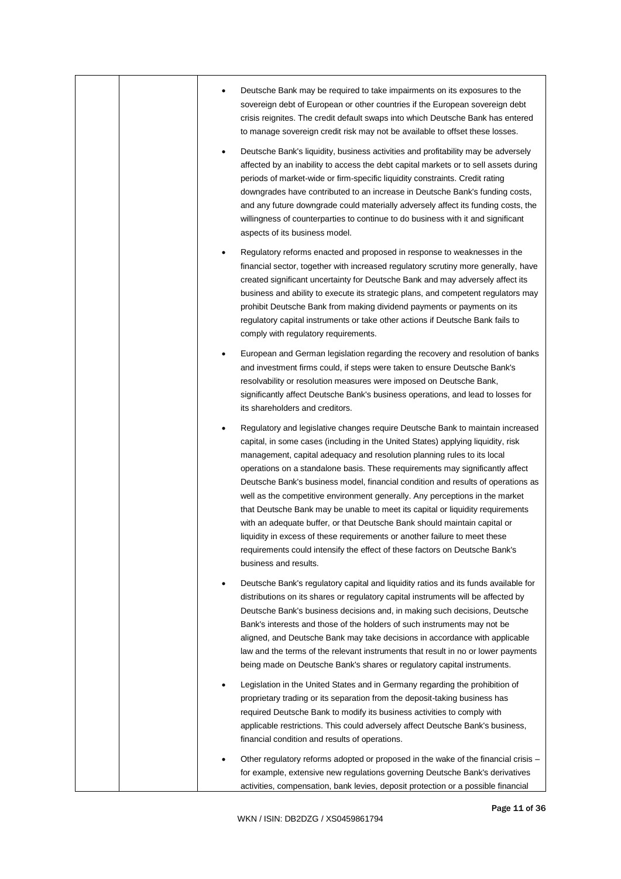|  | Deutsche Bank may be required to take impairments on its exposures to the<br>sovereign debt of European or other countries if the European sovereign debt<br>crisis reignites. The credit default swaps into which Deutsche Bank has entered<br>to manage sovereign credit risk may not be available to offset these losses.                                                                                                                                                                                                                                                                                                                                                                                                                                                                                                                            |
|--|---------------------------------------------------------------------------------------------------------------------------------------------------------------------------------------------------------------------------------------------------------------------------------------------------------------------------------------------------------------------------------------------------------------------------------------------------------------------------------------------------------------------------------------------------------------------------------------------------------------------------------------------------------------------------------------------------------------------------------------------------------------------------------------------------------------------------------------------------------|
|  | Deutsche Bank's liquidity, business activities and profitability may be adversely<br>affected by an inability to access the debt capital markets or to sell assets during<br>periods of market-wide or firm-specific liquidity constraints. Credit rating<br>downgrades have contributed to an increase in Deutsche Bank's funding costs,<br>and any future downgrade could materially adversely affect its funding costs, the<br>willingness of counterparties to continue to do business with it and significant<br>aspects of its business model.                                                                                                                                                                                                                                                                                                    |
|  | Regulatory reforms enacted and proposed in response to weaknesses in the<br>financial sector, together with increased regulatory scrutiny more generally, have<br>created significant uncertainty for Deutsche Bank and may adversely affect its<br>business and ability to execute its strategic plans, and competent regulators may<br>prohibit Deutsche Bank from making dividend payments or payments on its<br>regulatory capital instruments or take other actions if Deutsche Bank fails to<br>comply with regulatory requirements.                                                                                                                                                                                                                                                                                                              |
|  | European and German legislation regarding the recovery and resolution of banks<br>and investment firms could, if steps were taken to ensure Deutsche Bank's<br>resolvability or resolution measures were imposed on Deutsche Bank,<br>significantly affect Deutsche Bank's business operations, and lead to losses for<br>its shareholders and creditors.                                                                                                                                                                                                                                                                                                                                                                                                                                                                                               |
|  | Regulatory and legislative changes require Deutsche Bank to maintain increased<br>capital, in some cases (including in the United States) applying liquidity, risk<br>management, capital adequacy and resolution planning rules to its local<br>operations on a standalone basis. These requirements may significantly affect<br>Deutsche Bank's business model, financial condition and results of operations as<br>well as the competitive environment generally. Any perceptions in the market<br>that Deutsche Bank may be unable to meet its capital or liquidity requirements<br>with an adequate buffer, or that Deutsche Bank should maintain capital or<br>liquidity in excess of these requirements or another failure to meet these<br>requirements could intensify the effect of these factors on Deutsche Bank's<br>business and results. |
|  | Deutsche Bank's regulatory capital and liquidity ratios and its funds available for<br>distributions on its shares or regulatory capital instruments will be affected by<br>Deutsche Bank's business decisions and, in making such decisions, Deutsche<br>Bank's interests and those of the holders of such instruments may not be<br>aligned, and Deutsche Bank may take decisions in accordance with applicable<br>law and the terms of the relevant instruments that result in no or lower payments<br>being made on Deutsche Bank's shares or regulatory capital instruments.                                                                                                                                                                                                                                                                       |
|  | Legislation in the United States and in Germany regarding the prohibition of<br>proprietary trading or its separation from the deposit-taking business has<br>required Deutsche Bank to modify its business activities to comply with<br>applicable restrictions. This could adversely affect Deutsche Bank's business,<br>financial condition and results of operations.                                                                                                                                                                                                                                                                                                                                                                                                                                                                               |
|  | Other regulatory reforms adopted or proposed in the wake of the financial crisis –<br>for example, extensive new regulations governing Deutsche Bank's derivatives<br>activities, compensation, bank levies, deposit protection or a possible financial                                                                                                                                                                                                                                                                                                                                                                                                                                                                                                                                                                                                 |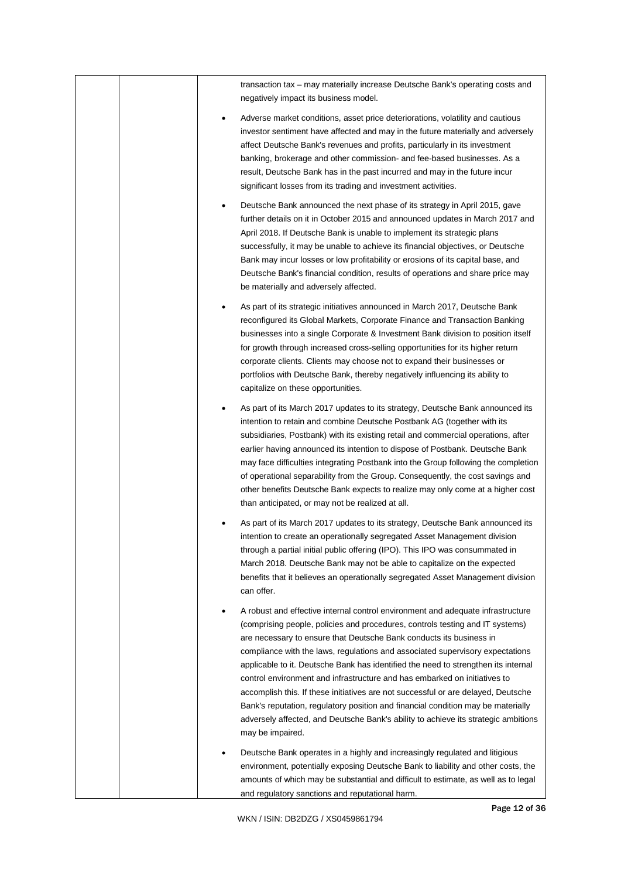|  | transaction tax – may materially increase Deutsche Bank's operating costs and<br>negatively impact its business model.                                                                                                                                                                                                                                                                                                                                                                                                                                                                                                                                                                                                                                                              |
|--|-------------------------------------------------------------------------------------------------------------------------------------------------------------------------------------------------------------------------------------------------------------------------------------------------------------------------------------------------------------------------------------------------------------------------------------------------------------------------------------------------------------------------------------------------------------------------------------------------------------------------------------------------------------------------------------------------------------------------------------------------------------------------------------|
|  | Adverse market conditions, asset price deteriorations, volatility and cautious<br>٠<br>investor sentiment have affected and may in the future materially and adversely<br>affect Deutsche Bank's revenues and profits, particularly in its investment<br>banking, brokerage and other commission- and fee-based businesses. As a<br>result, Deutsche Bank has in the past incurred and may in the future incur<br>significant losses from its trading and investment activities.                                                                                                                                                                                                                                                                                                    |
|  | Deutsche Bank announced the next phase of its strategy in April 2015, gave<br>further details on it in October 2015 and announced updates in March 2017 and<br>April 2018. If Deutsche Bank is unable to implement its strategic plans<br>successfully, it may be unable to achieve its financial objectives, or Deutsche<br>Bank may incur losses or low profitability or erosions of its capital base, and<br>Deutsche Bank's financial condition, results of operations and share price may<br>be materially and adversely affected.                                                                                                                                                                                                                                             |
|  | As part of its strategic initiatives announced in March 2017, Deutsche Bank<br>reconfigured its Global Markets, Corporate Finance and Transaction Banking<br>businesses into a single Corporate & Investment Bank division to position itself<br>for growth through increased cross-selling opportunities for its higher return<br>corporate clients. Clients may choose not to expand their businesses or<br>portfolios with Deutsche Bank, thereby negatively influencing its ability to<br>capitalize on these opportunities.                                                                                                                                                                                                                                                    |
|  | As part of its March 2017 updates to its strategy, Deutsche Bank announced its<br>٠<br>intention to retain and combine Deutsche Postbank AG (together with its<br>subsidiaries, Postbank) with its existing retail and commercial operations, after<br>earlier having announced its intention to dispose of Postbank. Deutsche Bank<br>may face difficulties integrating Postbank into the Group following the completion<br>of operational separability from the Group. Consequently, the cost savings and<br>other benefits Deutsche Bank expects to realize may only come at a higher cost<br>than anticipated, or may not be realized at all.                                                                                                                                   |
|  | As part of its March 2017 updates to its strategy, Deutsche Bank announced its<br>intention to create an operationally segregated Asset Management division<br>through a partial initial public offering (IPO). This IPO was consummated in<br>March 2018. Deutsche Bank may not be able to capitalize on the expected<br>benefits that it believes an operationally segregated Asset Management division<br>can offer.                                                                                                                                                                                                                                                                                                                                                             |
|  | A robust and effective internal control environment and adequate infrastructure<br>٠<br>(comprising people, policies and procedures, controls testing and IT systems)<br>are necessary to ensure that Deutsche Bank conducts its business in<br>compliance with the laws, regulations and associated supervisory expectations<br>applicable to it. Deutsche Bank has identified the need to strengthen its internal<br>control environment and infrastructure and has embarked on initiatives to<br>accomplish this. If these initiatives are not successful or are delayed, Deutsche<br>Bank's reputation, regulatory position and financial condition may be materially<br>adversely affected, and Deutsche Bank's ability to achieve its strategic ambitions<br>may be impaired. |
|  | Deutsche Bank operates in a highly and increasingly regulated and litigious<br>environment, potentially exposing Deutsche Bank to liability and other costs, the<br>amounts of which may be substantial and difficult to estimate, as well as to legal<br>and regulatory sanctions and reputational harm.                                                                                                                                                                                                                                                                                                                                                                                                                                                                           |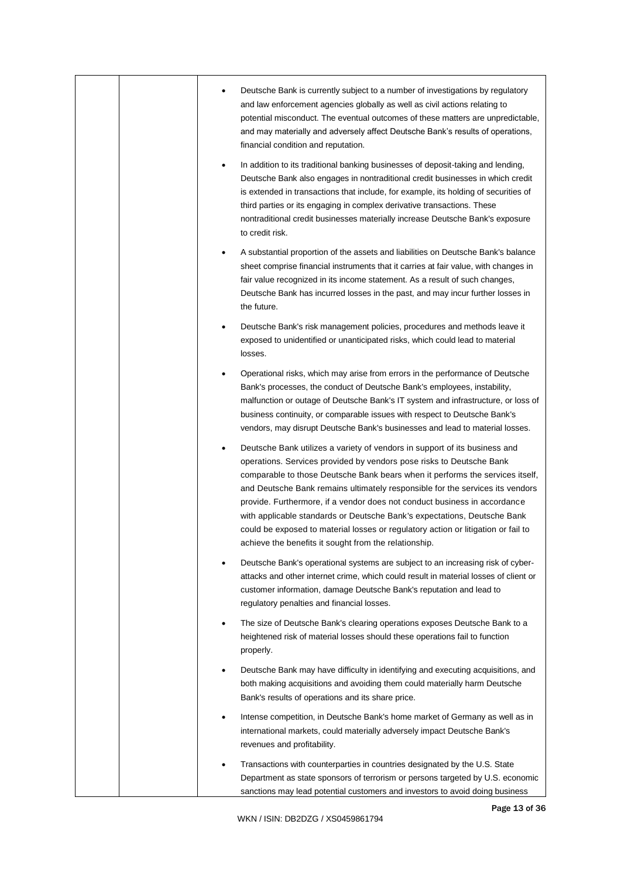|  | Deutsche Bank is currently subject to a number of investigations by regulatory                                                                                                                                                                                                                                                                                                                                                                                                                                                                                                                                              |
|--|-----------------------------------------------------------------------------------------------------------------------------------------------------------------------------------------------------------------------------------------------------------------------------------------------------------------------------------------------------------------------------------------------------------------------------------------------------------------------------------------------------------------------------------------------------------------------------------------------------------------------------|
|  | and law enforcement agencies globally as well as civil actions relating to<br>potential misconduct. The eventual outcomes of these matters are unpredictable,<br>and may materially and adversely affect Deutsche Bank's results of operations,<br>financial condition and reputation.                                                                                                                                                                                                                                                                                                                                      |
|  | In addition to its traditional banking businesses of deposit-taking and lending,<br>Deutsche Bank also engages in nontraditional credit businesses in which credit<br>is extended in transactions that include, for example, its holding of securities of<br>third parties or its engaging in complex derivative transactions. These<br>nontraditional credit businesses materially increase Deutsche Bank's exposure<br>to credit risk.                                                                                                                                                                                    |
|  | A substantial proportion of the assets and liabilities on Deutsche Bank's balance<br>sheet comprise financial instruments that it carries at fair value, with changes in<br>fair value recognized in its income statement. As a result of such changes,<br>Deutsche Bank has incurred losses in the past, and may incur further losses in<br>the future.                                                                                                                                                                                                                                                                    |
|  | Deutsche Bank's risk management policies, procedures and methods leave it<br>exposed to unidentified or unanticipated risks, which could lead to material<br>losses.                                                                                                                                                                                                                                                                                                                                                                                                                                                        |
|  | Operational risks, which may arise from errors in the performance of Deutsche<br>Bank's processes, the conduct of Deutsche Bank's employees, instability,<br>malfunction or outage of Deutsche Bank's IT system and infrastructure, or loss of<br>business continuity, or comparable issues with respect to Deutsche Bank's<br>vendors, may disrupt Deutsche Bank's businesses and lead to material losses.                                                                                                                                                                                                                 |
|  | Deutsche Bank utilizes a variety of vendors in support of its business and<br>operations. Services provided by vendors pose risks to Deutsche Bank<br>comparable to those Deutsche Bank bears when it performs the services itself,<br>and Deutsche Bank remains ultimately responsible for the services its vendors<br>provide. Furthermore, if a vendor does not conduct business in accordance<br>with applicable standards or Deutsche Bank's expectations, Deutsche Bank<br>could be exposed to material losses or regulatory action or litigation or fail to<br>achieve the benefits it sought from the relationship. |
|  | Deutsche Bank's operational systems are subject to an increasing risk of cyber-<br>attacks and other internet crime, which could result in material losses of client or<br>customer information, damage Deutsche Bank's reputation and lead to<br>regulatory penalties and financial losses.                                                                                                                                                                                                                                                                                                                                |
|  | The size of Deutsche Bank's clearing operations exposes Deutsche Bank to a<br>heightened risk of material losses should these operations fail to function<br>properly.                                                                                                                                                                                                                                                                                                                                                                                                                                                      |
|  | Deutsche Bank may have difficulty in identifying and executing acquisitions, and<br>both making acquisitions and avoiding them could materially harm Deutsche<br>Bank's results of operations and its share price.                                                                                                                                                                                                                                                                                                                                                                                                          |
|  | Intense competition, in Deutsche Bank's home market of Germany as well as in<br>international markets, could materially adversely impact Deutsche Bank's<br>revenues and profitability.                                                                                                                                                                                                                                                                                                                                                                                                                                     |
|  | Transactions with counterparties in countries designated by the U.S. State<br>Department as state sponsors of terrorism or persons targeted by U.S. economic<br>sanctions may lead potential customers and investors to avoid doing business                                                                                                                                                                                                                                                                                                                                                                                |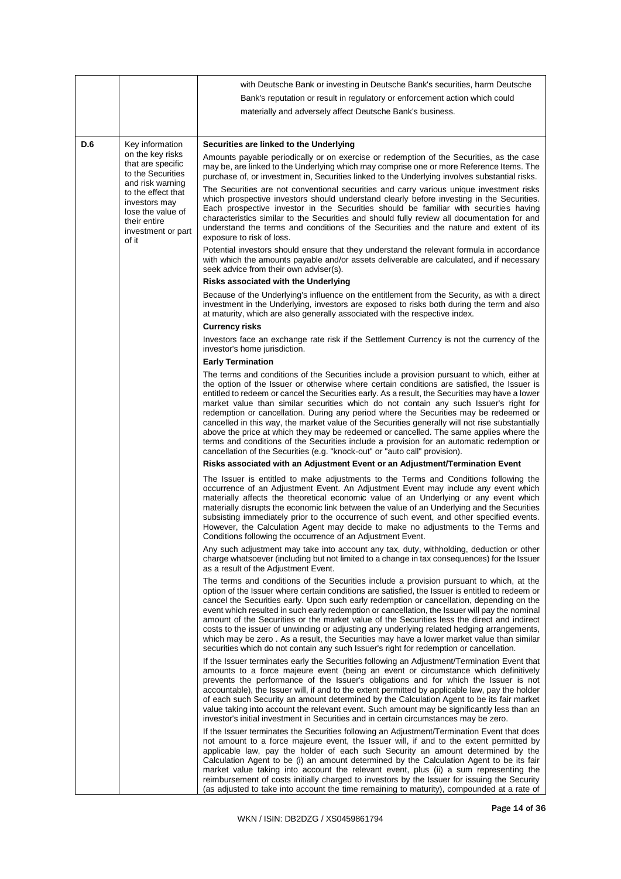|     |                                                                                                                                                                                  | with Deutsche Bank or investing in Deutsche Bank's securities, harm Deutsche                                                                                                                                                                                                                                                                                                                                                                                                                                                                                                                                                                                                                                                                                                                                                                             |  |  |  |  |  |
|-----|----------------------------------------------------------------------------------------------------------------------------------------------------------------------------------|----------------------------------------------------------------------------------------------------------------------------------------------------------------------------------------------------------------------------------------------------------------------------------------------------------------------------------------------------------------------------------------------------------------------------------------------------------------------------------------------------------------------------------------------------------------------------------------------------------------------------------------------------------------------------------------------------------------------------------------------------------------------------------------------------------------------------------------------------------|--|--|--|--|--|
|     |                                                                                                                                                                                  | Bank's reputation or result in regulatory or enforcement action which could                                                                                                                                                                                                                                                                                                                                                                                                                                                                                                                                                                                                                                                                                                                                                                              |  |  |  |  |  |
|     |                                                                                                                                                                                  | materially and adversely affect Deutsche Bank's business.                                                                                                                                                                                                                                                                                                                                                                                                                                                                                                                                                                                                                                                                                                                                                                                                |  |  |  |  |  |
|     |                                                                                                                                                                                  |                                                                                                                                                                                                                                                                                                                                                                                                                                                                                                                                                                                                                                                                                                                                                                                                                                                          |  |  |  |  |  |
| D.6 | Key information                                                                                                                                                                  | Securities are linked to the Underlying                                                                                                                                                                                                                                                                                                                                                                                                                                                                                                                                                                                                                                                                                                                                                                                                                  |  |  |  |  |  |
|     | on the key risks<br>that are specific<br>to the Securities<br>and risk warning<br>to the effect that<br>investors may<br>lose the value of<br>their entire<br>investment or part | Amounts payable periodically or on exercise or redemption of the Securities, as the case<br>may be, are linked to the Underlying which may comprise one or more Reference Items. The<br>purchase of, or investment in, Securities linked to the Underlying involves substantial risks.                                                                                                                                                                                                                                                                                                                                                                                                                                                                                                                                                                   |  |  |  |  |  |
|     |                                                                                                                                                                                  | The Securities are not conventional securities and carry various unique investment risks<br>which prospective investors should understand clearly before investing in the Securities.<br>Each prospective investor in the Securities should be familiar with securities having<br>characteristics similar to the Securities and should fully review all documentation for and<br>understand the terms and conditions of the Securities and the nature and extent of its<br>exposure to risk of loss.                                                                                                                                                                                                                                                                                                                                                     |  |  |  |  |  |
|     | of it                                                                                                                                                                            | Potential investors should ensure that they understand the relevant formula in accordance<br>with which the amounts payable and/or assets deliverable are calculated, and if necessary<br>seek advice from their own adviser(s).                                                                                                                                                                                                                                                                                                                                                                                                                                                                                                                                                                                                                         |  |  |  |  |  |
|     |                                                                                                                                                                                  | Risks associated with the Underlying                                                                                                                                                                                                                                                                                                                                                                                                                                                                                                                                                                                                                                                                                                                                                                                                                     |  |  |  |  |  |
|     |                                                                                                                                                                                  | Because of the Underlying's influence on the entitlement from the Security, as with a direct<br>investment in the Underlying, investors are exposed to risks both during the term and also<br>at maturity, which are also generally associated with the respective index.                                                                                                                                                                                                                                                                                                                                                                                                                                                                                                                                                                                |  |  |  |  |  |
|     |                                                                                                                                                                                  | <b>Currency risks</b>                                                                                                                                                                                                                                                                                                                                                                                                                                                                                                                                                                                                                                                                                                                                                                                                                                    |  |  |  |  |  |
|     |                                                                                                                                                                                  | Investors face an exchange rate risk if the Settlement Currency is not the currency of the<br>investor's home jurisdiction.                                                                                                                                                                                                                                                                                                                                                                                                                                                                                                                                                                                                                                                                                                                              |  |  |  |  |  |
|     |                                                                                                                                                                                  | <b>Early Termination</b>                                                                                                                                                                                                                                                                                                                                                                                                                                                                                                                                                                                                                                                                                                                                                                                                                                 |  |  |  |  |  |
|     |                                                                                                                                                                                  | The terms and conditions of the Securities include a provision pursuant to which, either at<br>the option of the Issuer or otherwise where certain conditions are satisfied, the Issuer is<br>entitled to redeem or cancel the Securities early. As a result, the Securities may have a lower<br>market value than similar securities which do not contain any such Issuer's right for<br>redemption or cancellation. During any period where the Securities may be redeemed or<br>cancelled in this way, the market value of the Securities generally will not rise substantially<br>above the price at which they may be redeemed or cancelled. The same applies where the<br>terms and conditions of the Securities include a provision for an automatic redemption or<br>cancellation of the Securities (e.g. "knock-out" or "auto call" provision). |  |  |  |  |  |
|     |                                                                                                                                                                                  | Risks associated with an Adjustment Event or an Adjustment/Termination Event                                                                                                                                                                                                                                                                                                                                                                                                                                                                                                                                                                                                                                                                                                                                                                             |  |  |  |  |  |
|     |                                                                                                                                                                                  | The Issuer is entitled to make adjustments to the Terms and Conditions following the<br>occurrence of an Adjustment Event. An Adjustment Event may include any event which<br>materially affects the theoretical economic value of an Underlying or any event which<br>materially disrupts the economic link between the value of an Underlying and the Securities<br>subsisting immediately prior to the occurrence of such event, and other specified events.<br>However, the Calculation Agent may decide to make no adjustments to the Terms and<br>Conditions following the occurrence of an Adjustment Event.                                                                                                                                                                                                                                      |  |  |  |  |  |
|     |                                                                                                                                                                                  | Any such adjustment may take into account any tax, duty, withholding, deduction or other<br>charge whatsoever (including but not limited to a change in tax consequences) for the Issuer<br>as a result of the Adjustment Event.                                                                                                                                                                                                                                                                                                                                                                                                                                                                                                                                                                                                                         |  |  |  |  |  |
|     |                                                                                                                                                                                  | The terms and conditions of the Securities include a provision pursuant to which, at the<br>option of the Issuer where certain conditions are satisfied, the Issuer is entitled to redeem or<br>cancel the Securities early. Upon such early redemption or cancellation, depending on the<br>event which resulted in such early redemption or cancellation, the Issuer will pay the nominal<br>amount of the Securities or the market value of the Securities less the direct and indirect<br>costs to the issuer of unwinding or adjusting any underlying related hedging arrangements,<br>which may be zero. As a result, the Securities may have a lower market value than similar<br>securities which do not contain any such Issuer's right for redemption or cancellation.                                                                         |  |  |  |  |  |
|     |                                                                                                                                                                                  | If the Issuer terminates early the Securities following an Adjustment/Termination Event that<br>amounts to a force majeure event (being an event or circumstance which definitively<br>prevents the performance of the Issuer's obligations and for which the Issuer is not<br>accountable), the Issuer will, if and to the extent permitted by applicable law, pay the holder<br>of each such Security an amount determined by the Calculation Agent to be its fair market<br>value taking into account the relevant event. Such amount may be significantly less than an<br>investor's initial investment in Securities and in certain circumstances may be zero.                                                                                                                                                                                      |  |  |  |  |  |
|     |                                                                                                                                                                                  | If the Issuer terminates the Securities following an Adjustment/Termination Event that does<br>not amount to a force majeure event, the Issuer will, if and to the extent permitted by<br>applicable law, pay the holder of each such Security an amount determined by the<br>Calculation Agent to be (i) an amount determined by the Calculation Agent to be its fair<br>market value taking into account the relevant event, plus (ii) a sum representing the<br>reimbursement of costs initially charged to investors by the Issuer for issuing the Security<br>(as adjusted to take into account the time remaining to maturity), compounded at a rate of                                                                                                                                                                                            |  |  |  |  |  |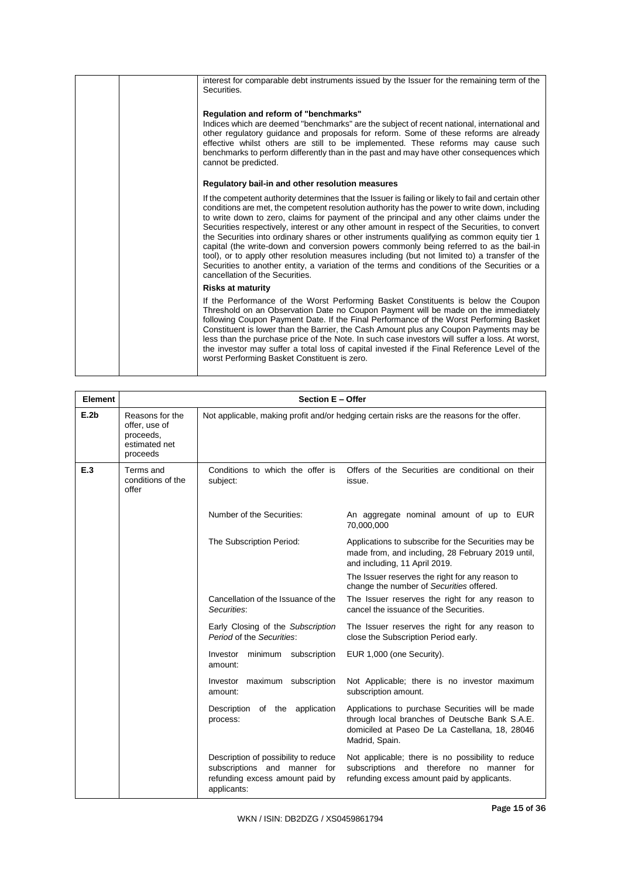| interest for comparable debt instruments issued by the Issuer for the remaining term of the<br>Securities.                                                                                                                                                                                                                                                                                                                                                                                                                                                                                                                                                                                                                                                                                                                         |
|------------------------------------------------------------------------------------------------------------------------------------------------------------------------------------------------------------------------------------------------------------------------------------------------------------------------------------------------------------------------------------------------------------------------------------------------------------------------------------------------------------------------------------------------------------------------------------------------------------------------------------------------------------------------------------------------------------------------------------------------------------------------------------------------------------------------------------|
| Regulation and reform of "benchmarks"<br>Indices which are deemed "benchmarks" are the subject of recent national, international and<br>other regulatory guidance and proposals for reform. Some of these reforms are already<br>effective whilst others are still to be implemented. These reforms may cause such<br>benchmarks to perform differently than in the past and may have other consequences which<br>cannot be predicted.                                                                                                                                                                                                                                                                                                                                                                                             |
| Regulatory bail-in and other resolution measures                                                                                                                                                                                                                                                                                                                                                                                                                                                                                                                                                                                                                                                                                                                                                                                   |
| If the competent authority determines that the Issuer is failing or likely to fail and certain other<br>conditions are met, the competent resolution authority has the power to write down, including<br>to write down to zero, claims for payment of the principal and any other claims under the<br>Securities respectively, interest or any other amount in respect of the Securities, to convert<br>the Securities into ordinary shares or other instruments qualifying as common equity tier 1<br>capital (the write-down and conversion powers commonly being referred to as the bail-in<br>tool), or to apply other resolution measures including (but not limited to) a transfer of the<br>Securities to another entity, a variation of the terms and conditions of the Securities or a<br>cancellation of the Securities. |
| <b>Risks at maturity</b>                                                                                                                                                                                                                                                                                                                                                                                                                                                                                                                                                                                                                                                                                                                                                                                                           |
| If the Performance of the Worst Performing Basket Constituents is below the Coupon<br>Threshold on an Observation Date no Coupon Payment will be made on the immediately<br>following Coupon Payment Date. If the Final Performance of the Worst Performing Basket<br>Constituent is lower than the Barrier, the Cash Amount plus any Coupon Payments may be<br>less than the purchase price of the Note. In such case investors will suffer a loss. At worst,<br>the investor may suffer a total loss of capital invested if the Final Reference Level of the<br>worst Performing Basket Constituent is zero.                                                                                                                                                                                                                     |

| Element |                                                                            | Section E - Offer                                                                                                      |                                                                                                                                                                        |  |  |  |
|---------|----------------------------------------------------------------------------|------------------------------------------------------------------------------------------------------------------------|------------------------------------------------------------------------------------------------------------------------------------------------------------------------|--|--|--|
| E.2b    | Reasons for the<br>offer, use of<br>proceeds,<br>estimated net<br>proceeds | Not applicable, making profit and/or hedging certain risks are the reasons for the offer.                              |                                                                                                                                                                        |  |  |  |
| E.3     | Terms and<br>conditions of the<br>offer                                    | Conditions to which the offer is<br>subject:                                                                           | Offers of the Securities are conditional on their<br>issue.                                                                                                            |  |  |  |
|         |                                                                            | Number of the Securities:                                                                                              | An aggregate nominal amount of up to EUR<br>70,000,000                                                                                                                 |  |  |  |
|         |                                                                            | The Subscription Period:                                                                                               | Applications to subscribe for the Securities may be<br>made from, and including, 28 February 2019 until,<br>and including, 11 April 2019.                              |  |  |  |
|         |                                                                            |                                                                                                                        | The Issuer reserves the right for any reason to<br>change the number of Securities offered.                                                                            |  |  |  |
|         |                                                                            | Cancellation of the Issuance of the<br>Securities:                                                                     | The Issuer reserves the right for any reason to<br>cancel the issuance of the Securities.                                                                              |  |  |  |
|         |                                                                            | Early Closing of the Subscription<br>Period of the Securities:                                                         | The Issuer reserves the right for any reason to<br>close the Subscription Period early.                                                                                |  |  |  |
|         |                                                                            | Investor minimum subscription<br>amount:                                                                               | EUR 1,000 (one Security).                                                                                                                                              |  |  |  |
|         |                                                                            | Investor maximum subscription<br>amount:                                                                               | Not Applicable; there is no investor maximum<br>subscription amount.                                                                                                   |  |  |  |
|         |                                                                            | Description of the application<br>process:                                                                             | Applications to purchase Securities will be made<br>through local branches of Deutsche Bank S.A.E.<br>domiciled at Paseo De La Castellana, 18, 28046<br>Madrid, Spain. |  |  |  |
|         |                                                                            | Description of possibility to reduce<br>subscriptions and manner for<br>refunding excess amount paid by<br>applicants: | Not applicable; there is no possibility to reduce<br>subscriptions and therefore no manner for<br>refunding excess amount paid by applicants.                          |  |  |  |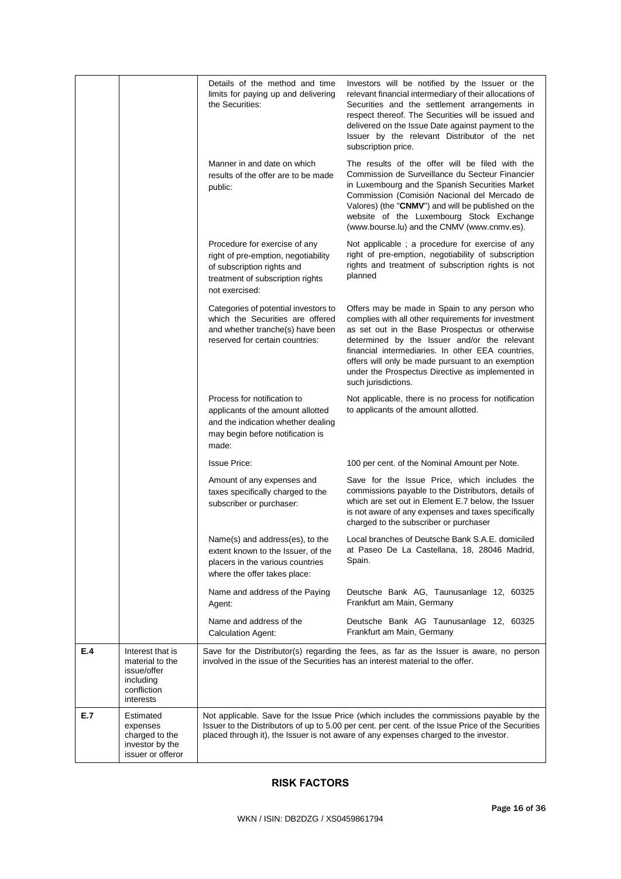|     |                                                                                             | Details of the method and time<br>limits for paying up and delivering<br>the Securities:                                                                 | Investors will be notified by the Issuer or the<br>relevant financial intermediary of their allocations of<br>Securities and the settlement arrangements in<br>respect thereof. The Securities will be issued and<br>delivered on the Issue Date against payment to the<br>Issuer by the relevant Distributor of the net<br>subscription price.                                             |
|-----|---------------------------------------------------------------------------------------------|----------------------------------------------------------------------------------------------------------------------------------------------------------|---------------------------------------------------------------------------------------------------------------------------------------------------------------------------------------------------------------------------------------------------------------------------------------------------------------------------------------------------------------------------------------------|
|     |                                                                                             | Manner in and date on which<br>results of the offer are to be made<br>public:                                                                            | The results of the offer will be filed with the<br>Commission de Surveillance du Secteur Financier<br>in Luxembourg and the Spanish Securities Market<br>Commission (Comisión Nacional del Mercado de<br>Valores) (the "CNMV") and will be published on the<br>website of the Luxembourg Stock Exchange<br>(www.bourse.lu) and the CNMV (www.cnmv.es).                                      |
|     |                                                                                             | Procedure for exercise of any<br>right of pre-emption, negotiability<br>of subscription rights and<br>treatment of subscription rights<br>not exercised: | Not applicable; a procedure for exercise of any<br>right of pre-emption, negotiability of subscription<br>rights and treatment of subscription rights is not<br>planned                                                                                                                                                                                                                     |
|     |                                                                                             | Categories of potential investors to<br>which the Securities are offered<br>and whether tranche(s) have been<br>reserved for certain countries:          | Offers may be made in Spain to any person who<br>complies with all other requirements for investment<br>as set out in the Base Prospectus or otherwise<br>determined by the Issuer and/or the relevant<br>financial intermediaries. In other EEA countries,<br>offers will only be made pursuant to an exemption<br>under the Prospectus Directive as implemented in<br>such jurisdictions. |
|     |                                                                                             | Process for notification to<br>applicants of the amount allotted<br>and the indication whether dealing<br>may begin before notification is<br>made:      | Not applicable, there is no process for notification<br>to applicants of the amount allotted.                                                                                                                                                                                                                                                                                               |
|     |                                                                                             | <b>Issue Price:</b>                                                                                                                                      | 100 per cent. of the Nominal Amount per Note.                                                                                                                                                                                                                                                                                                                                               |
|     |                                                                                             | Amount of any expenses and<br>taxes specifically charged to the<br>subscriber or purchaser:                                                              | Save for the Issue Price, which includes the<br>commissions payable to the Distributors, details of<br>which are set out in Element E.7 below, the Issuer<br>is not aware of any expenses and taxes specifically<br>charged to the subscriber or purchaser                                                                                                                                  |
|     |                                                                                             | Name(s) and address(es), to the<br>extent known to the Issuer, of the<br>placers in the various countries<br>where the offer takes place:                | Local branches of Deutsche Bank S.A.E. domiciled<br>at Paseo De La Castellana, 18, 28046 Madrid,<br>Spain.                                                                                                                                                                                                                                                                                  |
|     |                                                                                             | Name and address of the Paying<br>Agent:                                                                                                                 | Deutsche Bank AG, Taunusanlage 12, 60325<br>Frankfurt am Main, Germany                                                                                                                                                                                                                                                                                                                      |
|     |                                                                                             | Name and address of the<br>Calculation Agent:                                                                                                            | Deutsche Bank AG Taunusanlage 12, 60325<br>Frankfurt am Main, Germany                                                                                                                                                                                                                                                                                                                       |
| E.4 | Interest that is<br>material to the<br>issue/offer<br>including<br>confliction<br>interests | involved in the issue of the Securities has an interest material to the offer.                                                                           | Save for the Distributor(s) regarding the fees, as far as the Issuer is aware, no person                                                                                                                                                                                                                                                                                                    |
| E.7 | Estimated<br>expenses<br>charged to the<br>investor by the<br>issuer or offeror             |                                                                                                                                                          | Not applicable. Save for the Issue Price (which includes the commissions payable by the<br>Issuer to the Distributors of up to 5.00 per cent. per cent. of the Issue Price of the Securities<br>placed through it), the Issuer is not aware of any expenses charged to the investor.                                                                                                        |

# **RISK FACTORS**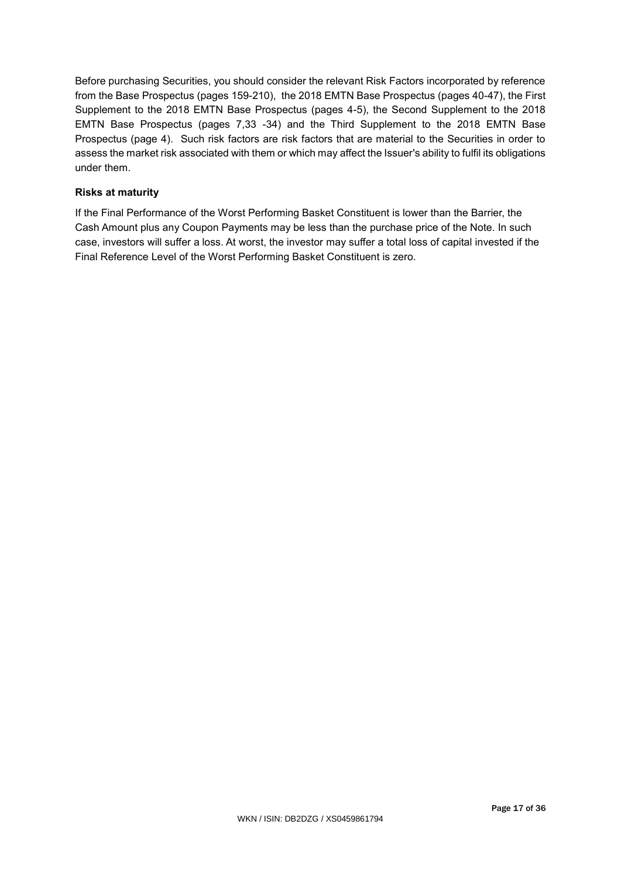Before purchasing Securities, you should consider the relevant Risk Factors incorporated by reference from the Base Prospectus (pages 159-210), the 2018 EMTN Base Prospectus (pages 40-47), the First Supplement to the 2018 EMTN Base Prospectus (pages 4-5), the Second Supplement to the 2018 EMTN Base Prospectus (pages 7,33 -34) and the Third Supplement to the 2018 EMTN Base Prospectus (page 4). Such risk factors are risk factors that are material to the Securities in order to assess the market risk associated with them or which may affect the Issuer's ability to fulfil its obligations under them.

# **Risks at maturity**

If the Final Performance of the Worst Performing Basket Constituent is lower than the Barrier, the Cash Amount plus any Coupon Payments may be less than the purchase price of the Note. In such case, investors will suffer a loss. At worst, the investor may suffer a total loss of capital invested if the Final Reference Level of the Worst Performing Basket Constituent is zero.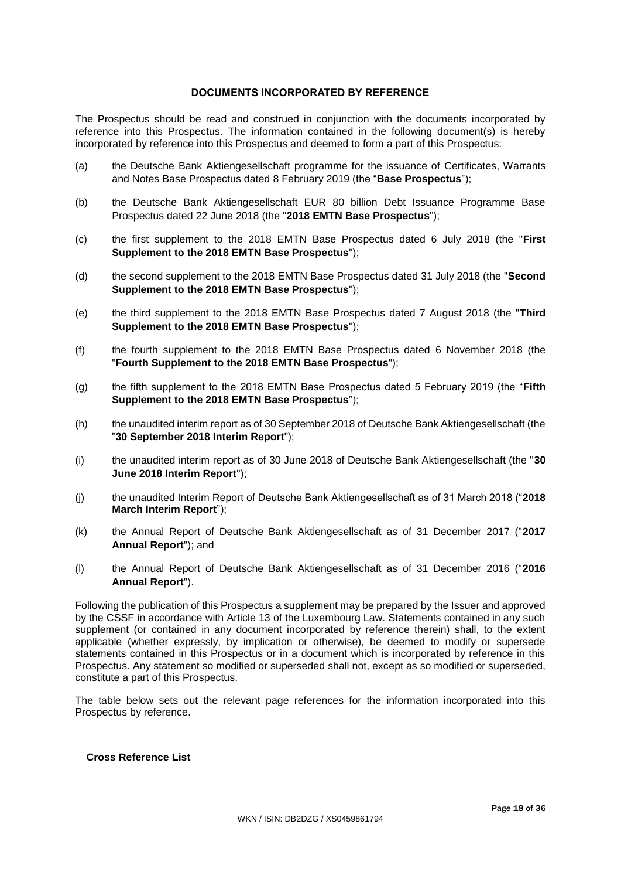## **DOCUMENTS INCORPORATED BY REFERENCE**

The Prospectus should be read and construed in conjunction with the documents incorporated by reference into this Prospectus. The information contained in the following document(s) is hereby incorporated by reference into this Prospectus and deemed to form a part of this Prospectus:

- (a) the Deutsche Bank Aktiengesellschaft programme for the issuance of Certificates, Warrants and Notes Base Prospectus dated 8 February 2019 (the "**Base Prospectus**");
- (b) the Deutsche Bank Aktiengesellschaft EUR 80 billion Debt Issuance Programme Base Prospectus dated 22 June 2018 (the "**2018 EMTN Base Prospectus**");
- (c) the first supplement to the 2018 EMTN Base Prospectus dated 6 July 2018 (the "**First Supplement to the 2018 EMTN Base Prospectus**");
- (d) the second supplement to the 2018 EMTN Base Prospectus dated 31 July 2018 (the "**Second Supplement to the 2018 EMTN Base Prospectus**");
- (e) the third supplement to the 2018 EMTN Base Prospectus dated 7 August 2018 (the "**Third Supplement to the 2018 EMTN Base Prospectus**");
- (f) the fourth supplement to the 2018 EMTN Base Prospectus dated 6 November 2018 (the "**Fourth Supplement to the 2018 EMTN Base Prospectus**");
- (g) the fifth supplement to the 2018 EMTN Base Prospectus dated 5 February 2019 (the "**Fifth Supplement to the 2018 EMTN Base Prospectus**");
- (h) the unaudited interim report as of 30 September 2018 of Deutsche Bank Aktiengesellschaft (the "**30 September 2018 Interim Report**");
- (i) the unaudited interim report as of 30 June 2018 of Deutsche Bank Aktiengesellschaft (the "**30 June 2018 Interim Report**");
- (j) the unaudited Interim Report of Deutsche Bank Aktiengesellschaft as of 31 March 2018 ("**2018 March Interim Report**");
- (k) the Annual Report of Deutsche Bank Aktiengesellschaft as of 31 December 2017 ("**2017 Annual Report**"); and
- (l) the Annual Report of Deutsche Bank Aktiengesellschaft as of 31 December 2016 ("**2016 Annual Report**").

Following the publication of this Prospectus a supplement may be prepared by the Issuer and approved by the CSSF in accordance with Article 13 of the Luxembourg Law. Statements contained in any such supplement (or contained in any document incorporated by reference therein) shall, to the extent applicable (whether expressly, by implication or otherwise), be deemed to modify or supersede statements contained in this Prospectus or in a document which is incorporated by reference in this Prospectus. Any statement so modified or superseded shall not, except as so modified or superseded, constitute a part of this Prospectus.

The table below sets out the relevant page references for the information incorporated into this Prospectus by reference.

# **Cross Reference List**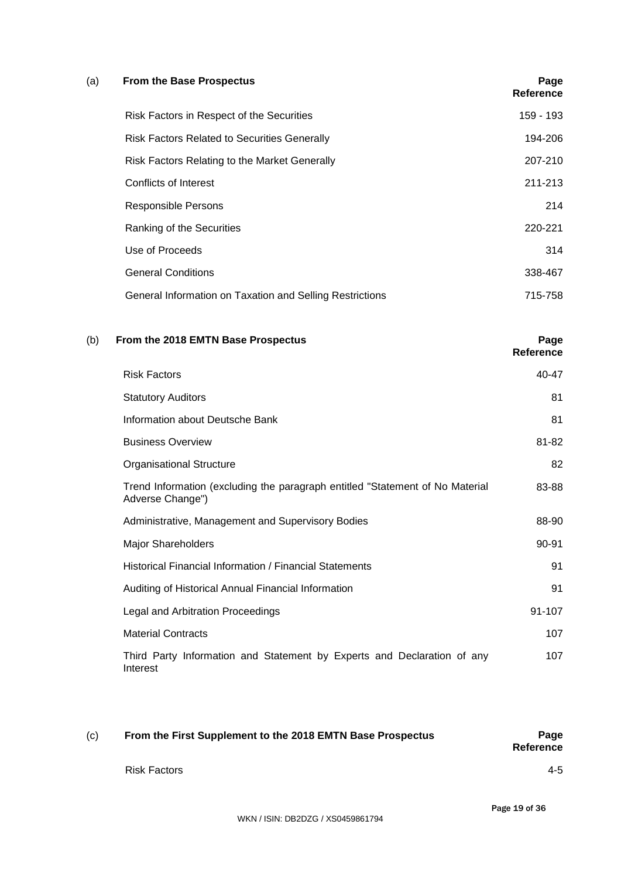## (a) **From the Base Prospectus Page**

|                                                          | Reference |
|----------------------------------------------------------|-----------|
| Risk Factors in Respect of the Securities                | 159 - 193 |
| <b>Risk Factors Related to Securities Generally</b>      | 194-206   |
| Risk Factors Relating to the Market Generally            | 207-210   |
| Conflicts of Interest                                    | 211-213   |
| <b>Responsible Persons</b>                               | 214       |
| Ranking of the Securities                                | 220-221   |
| Use of Proceeds                                          | 314       |
| <b>General Conditions</b>                                | 338-467   |
| General Information on Taxation and Selling Restrictions | 715-758   |

#### (b) **From the 2018 EMTN Base Prospectus Page**

Risk Factors 40-47 Statutory Auditors 81 **Information about Deutsche Bank** 81 Business Overview 81-82 Organisational Structure 82 Trend Information (excluding the paragraph entitled "Statement of No Material Adverse Change") 83-88 Administrative, Management and Supervisory Bodies 88-90 Major Shareholders 90-91 Historical Financial Information / Financial Statements 91 Auditing of Historical Annual Financial Information **91** and 191 Legal and Arbitration Proceedings **91-107** Material Contracts **107** Third Party Information and Statement by Experts and Declaration of any Interest 107

| (c) | From the First Supplement to the 2018 EMTN Base Prospectus | Page<br><b>Reference</b> |
|-----|------------------------------------------------------------|--------------------------|
|     | <b>Risk Factors</b>                                        | $4 - 5$                  |

**Reference**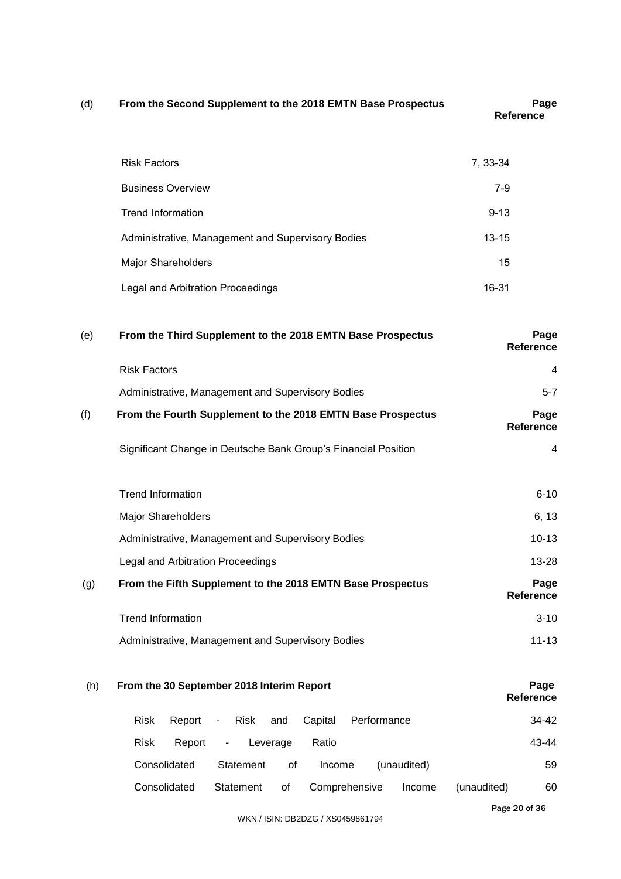| (d) | From the Second Supplement to the 2018 EMTN Base Prospectus                             | Page<br><b>Reference</b> |  |  |
|-----|-----------------------------------------------------------------------------------------|--------------------------|--|--|
|     | <b>Risk Factors</b>                                                                     | 7, 33-34                 |  |  |
|     | <b>Business Overview</b>                                                                | $7-9$                    |  |  |
|     | <b>Trend Information</b>                                                                | $9 - 13$                 |  |  |
|     | Administrative, Management and Supervisory Bodies                                       | $13 - 15$                |  |  |
|     | Major Shareholders                                                                      | 15                       |  |  |
|     | Legal and Arbitration Proceedings                                                       | 16-31                    |  |  |
| (e) | From the Third Supplement to the 2018 EMTN Base Prospectus                              | Page<br>Reference        |  |  |
|     | <b>Risk Factors</b>                                                                     | 4                        |  |  |
|     | Administrative, Management and Supervisory Bodies                                       | $5 - 7$                  |  |  |
| (f) | From the Fourth Supplement to the 2018 EMTN Base Prospectus                             | Page<br><b>Reference</b> |  |  |
|     | Significant Change in Deutsche Bank Group's Financial Position                          | 4                        |  |  |
|     | <b>Trend Information</b>                                                                | $6 - 10$                 |  |  |
|     | <b>Major Shareholders</b>                                                               | 6, 13                    |  |  |
|     | Administrative, Management and Supervisory Bodies                                       | $10 - 13$                |  |  |
|     | Legal and Arbitration Proceedings                                                       | 13-28                    |  |  |
| (g) | From the Fifth Supplement to the 2018 EMTN Base Prospectus                              | Page<br><b>Reference</b> |  |  |
|     | <b>Trend Information</b>                                                                | $3 - 10$                 |  |  |
|     | Administrative, Management and Supervisory Bodies                                       | $11 - 13$                |  |  |
| (h) | From the 30 September 2018 Interim Report                                               | Page<br>Reference        |  |  |
|     | <b>Risk</b><br>Report<br>Capital<br>Performance<br><b>Risk</b><br>and<br>$\blacksquare$ | 34-42                    |  |  |
|     | Risk<br>Ratio<br>Report<br>Leverage<br>۰.                                               | 43-44                    |  |  |

| <b>Risk</b>  | Report - Leverage |    | Ratio                      |             |             | 43-44 |
|--------------|-------------------|----|----------------------------|-------------|-------------|-------|
| Consolidated | Statement         | 0t | Income                     | (unaudited) |             | 59    |
| Consolidated |                   |    | Statement of Comprehensive | Income      | (unaudited) | 60    |

Page 20 of 36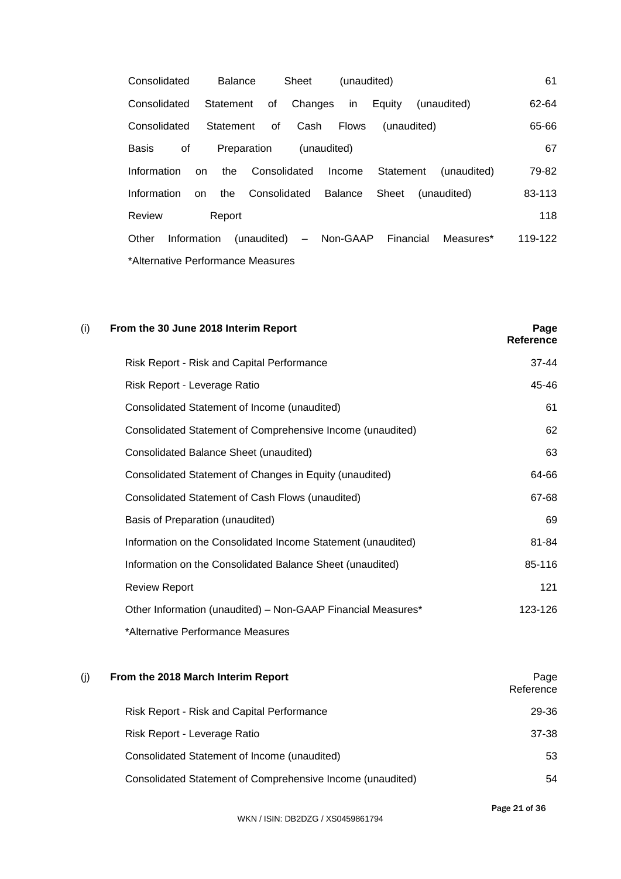| Consolidated                      | Balance   |                                               | Sheet                  | (unaudited) |  |  |           | 61      |
|-----------------------------------|-----------|-----------------------------------------------|------------------------|-------------|--|--|-----------|---------|
| Consolidated                      |           | Statement of Changes in Equity (unaudited)    |                        |             |  |  |           | 62-64   |
| Consolidated                      | Statement | of                                            | Cash Flows (unaudited) |             |  |  |           | 65-66   |
| Basis<br>οf                       |           | Preparation (unaudited)                       |                        |             |  |  |           | 67      |
| Information                       | <b>on</b> | the Consolidated Income Statement (unaudited) |                        |             |  |  |           | 79-82   |
| Information on                    |           | the Consolidated Balance Sheet (unaudited)    |                        |             |  |  |           | 83-113  |
| Review                            | Report    |                                               |                        |             |  |  |           | 118     |
| Other                             |           | Information (unaudited) - Non-GAAP Financial  |                        |             |  |  | Measures* | 119-122 |
| *Alternative Performance Measures |           |                                               |                        |             |  |  |           |         |

| (i)<br>From the 30 June 2018 Interim Report                  | Page<br>Reference |
|--------------------------------------------------------------|-------------------|
| Risk Report - Risk and Capital Performance                   | $37 - 44$         |
| Risk Report - Leverage Ratio                                 | 45-46             |
| Consolidated Statement of Income (unaudited)                 | 61                |
| Consolidated Statement of Comprehensive Income (unaudited)   | 62                |
| Consolidated Balance Sheet (unaudited)                       | 63                |
| Consolidated Statement of Changes in Equity (unaudited)      | 64-66             |
| Consolidated Statement of Cash Flows (unaudited)             | 67-68             |
| Basis of Preparation (unaudited)                             | 69                |
| Information on the Consolidated Income Statement (unaudited) | 81-84             |
| Information on the Consolidated Balance Sheet (unaudited)    | 85-116            |
| <b>Review Report</b>                                         | 121               |
| Other Information (unaudited) - Non-GAAP Financial Measures* | 123-126           |
| *Alternative Performance Measures                            |                   |

| (i) | From the 2018 March Interim Report                         | Page<br>Reference |
|-----|------------------------------------------------------------|-------------------|
|     | Risk Report - Risk and Capital Performance                 | 29-36             |
|     | Risk Report - Leverage Ratio                               | 37-38             |
|     | Consolidated Statement of Income (unaudited)               | 53                |
|     | Consolidated Statement of Comprehensive Income (unaudited) | 54                |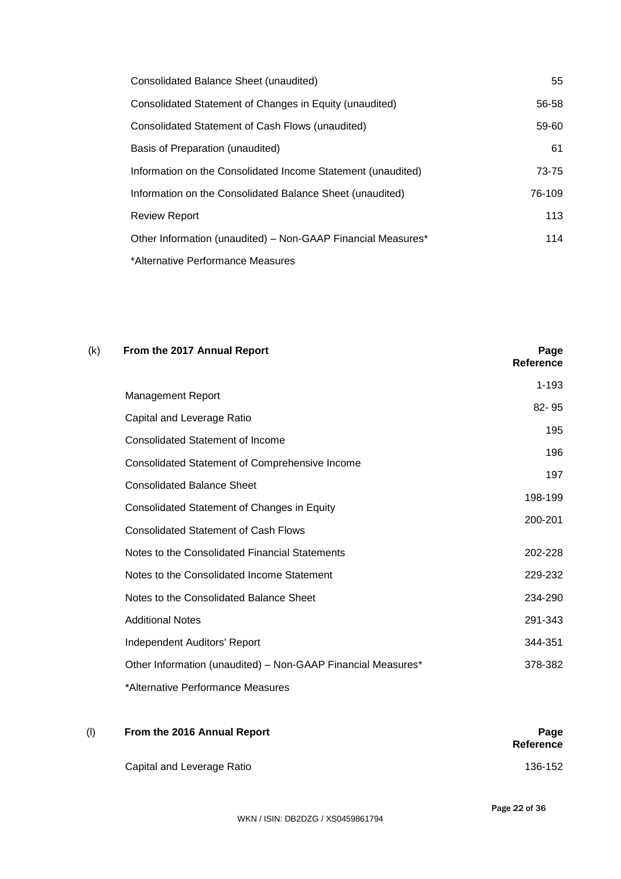| Consolidated Balance Sheet (unaudited)                       | 55     |
|--------------------------------------------------------------|--------|
| Consolidated Statement of Changes in Equity (unaudited)      | 56-58  |
| Consolidated Statement of Cash Flows (unaudited)             | 59-60  |
| Basis of Preparation (unaudited)                             | 61     |
| Information on the Consolidated Income Statement (unaudited) | 73-75  |
| Information on the Consolidated Balance Sheet (unaudited)    | 76-109 |
| <b>Review Report</b>                                         | 113    |
| Other Information (unaudited) - Non-GAAP Financial Measures* | 114    |
| *Alternative Performance Measures                            |        |

| (k) | From the 2017 Annual Report                                  | Page<br><b>Reference</b> |
|-----|--------------------------------------------------------------|--------------------------|
|     | <b>Management Report</b>                                     | $1 - 193$                |
|     |                                                              | $82 - 95$                |
|     | Capital and Leverage Ratio                                   | 195                      |
|     | <b>Consolidated Statement of Income</b>                      | 196                      |
|     | Consolidated Statement of Comprehensive Income               |                          |
|     | <b>Consolidated Balance Sheet</b>                            | 197                      |
|     | Consolidated Statement of Changes in Equity                  | 198-199                  |
|     | <b>Consolidated Statement of Cash Flows</b>                  | 200-201                  |
|     | Notes to the Consolidated Financial Statements               | 202-228                  |
|     | Notes to the Consolidated Income Statement                   | 229-232                  |
|     | Notes to the Consolidated Balance Sheet                      | 234-290                  |
|     | <b>Additional Notes</b>                                      | 291-343                  |
|     | Independent Auditors' Report                                 | 344-351                  |
|     | Other Information (unaudited) - Non-GAAP Financial Measures* | 378-382                  |
|     | *Alternative Performance Measures                            |                          |

| (1) | From the 2016 Annual Report | Page<br><b>Reference</b> |
|-----|-----------------------------|--------------------------|
|     | Capital and Leverage Ratio  | 136-152                  |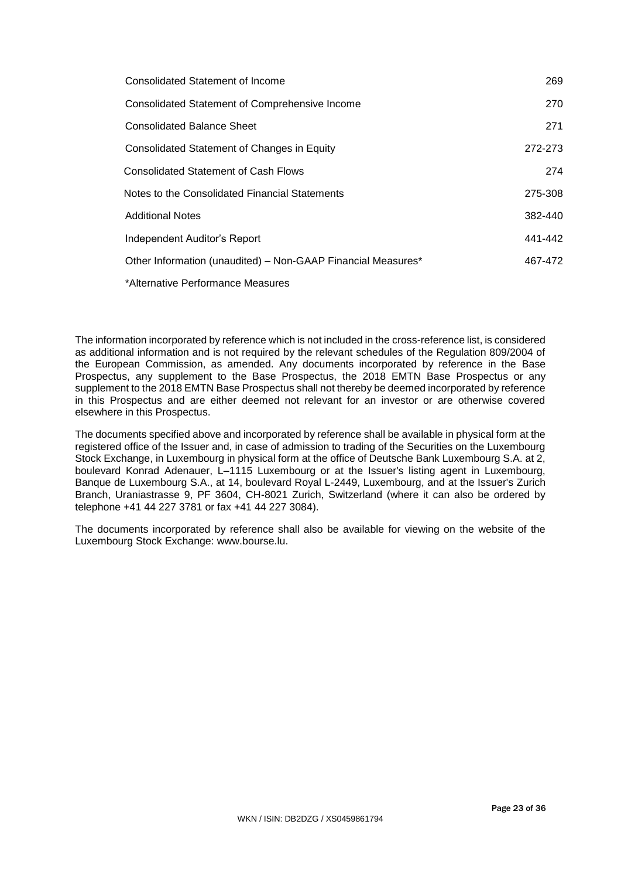| <b>Consolidated Statement of Income</b>                      | 269     |
|--------------------------------------------------------------|---------|
| <b>Consolidated Statement of Comprehensive Income</b>        | 270     |
| <b>Consolidated Balance Sheet</b>                            | 271     |
| Consolidated Statement of Changes in Equity                  | 272-273 |
| <b>Consolidated Statement of Cash Flows</b>                  | 274     |
| Notes to the Consolidated Financial Statements               | 275-308 |
| <b>Additional Notes</b>                                      | 382-440 |
| Independent Auditor's Report                                 | 441-442 |
| Other Information (unaudited) - Non-GAAP Financial Measures* | 467-472 |
| *Alternative Performance Measures                            |         |

The information incorporated by reference which is not included in the cross-reference list, is considered as additional information and is not required by the relevant schedules of the Regulation 809/2004 of the European Commission, as amended. Any documents incorporated by reference in the Base Prospectus, any supplement to the Base Prospectus, the 2018 EMTN Base Prospectus or any supplement to the 2018 EMTN Base Prospectus shall not thereby be deemed incorporated by reference in this Prospectus and are either deemed not relevant for an investor or are otherwise covered elsewhere in this Prospectus.

The documents specified above and incorporated by reference shall be available in physical form at the registered office of the Issuer and, in case of admission to trading of the Securities on the Luxembourg Stock Exchange, in Luxembourg in physical form at the office of Deutsche Bank Luxembourg S.A. at 2, boulevard Konrad Adenauer, L–1115 Luxembourg or at the Issuer's listing agent in Luxembourg, Banque de Luxembourg S.A., at 14, boulevard Royal L-2449, Luxembourg, and at the Issuer's Zurich Branch, Uraniastrasse 9, PF 3604, CH-8021 Zurich, Switzerland (where it can also be ordered by telephone +41 44 227 3781 or fax +41 44 227 3084).

The documents incorporated by reference shall also be available for viewing on the website of the Luxembourg Stock Exchange: www.bourse.lu.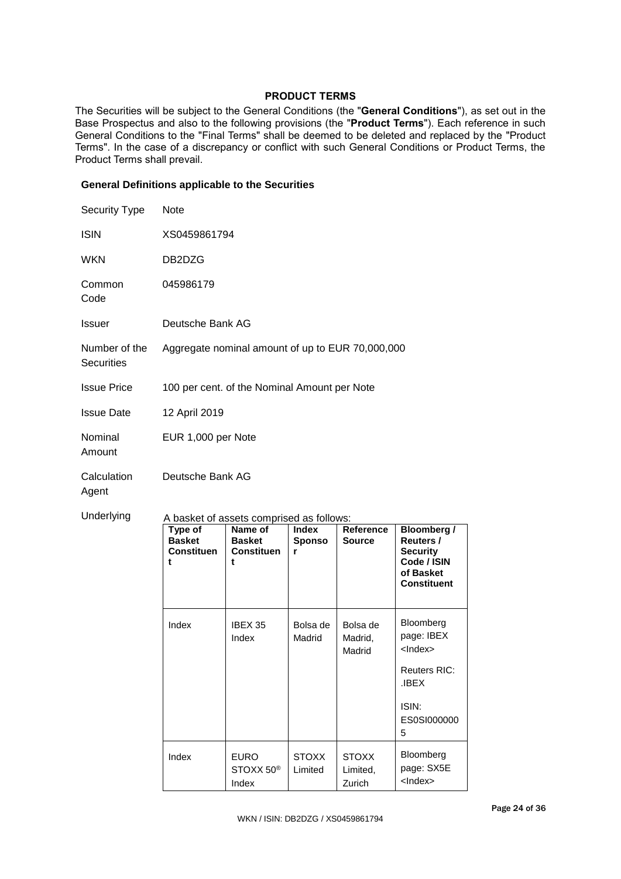# **PRODUCT TERMS**

The Securities will be subject to the General Conditions (the "**General Conditions**"), as set out in the Base Prospectus and also to the following provisions (the "**Product Terms**"). Each reference in such General Conditions to the "Final Terms" shall be deemed to be deleted and replaced by the "Product Terms". In the case of a discrepancy or conflict with such General Conditions or Product Terms, the Product Terms shall prevail.

## **General Definitions applicable to the Securities**

| Security Type                      | Note                                               |                                                                                                |                                    |                               |                                                                                                      |  |
|------------------------------------|----------------------------------------------------|------------------------------------------------------------------------------------------------|------------------------------------|-------------------------------|------------------------------------------------------------------------------------------------------|--|
| <b>ISIN</b>                        |                                                    | XS0459861794                                                                                   |                                    |                               |                                                                                                      |  |
| <b>WKN</b>                         | DB2DZG                                             |                                                                                                |                                    |                               |                                                                                                      |  |
| Common<br>Code                     | 045986179                                          |                                                                                                |                                    |                               |                                                                                                      |  |
| Issuer                             | Deutsche Bank AG                                   |                                                                                                |                                    |                               |                                                                                                      |  |
| Number of the<br><b>Securities</b> | Aggregate nominal amount of up to EUR 70,000,000   |                                                                                                |                                    |                               |                                                                                                      |  |
| <b>Issue Price</b>                 |                                                    | 100 per cent. of the Nominal Amount per Note                                                   |                                    |                               |                                                                                                      |  |
| <b>Issue Date</b>                  | 12 April 2019                                      |                                                                                                |                                    |                               |                                                                                                      |  |
| Nominal<br>Amount                  |                                                    | EUR 1,000 per Note                                                                             |                                    |                               |                                                                                                      |  |
| Calculation<br>Agent               | Deutsche Bank AG                                   |                                                                                                |                                    |                               |                                                                                                      |  |
| Underlying                         | Type of<br><b>Basket</b><br><b>Constituen</b><br>t | A basket of assets comprised as follows:<br>Name of<br><b>Basket</b><br><b>Constituen</b><br>t | <b>Index</b><br><b>Sponso</b><br>r | Reference<br><b>Source</b>    | <b>Bloomberg /</b><br>Reuters /<br><b>Security</b><br>Code / ISIN<br>of Basket<br><b>Constituent</b> |  |
|                                    | Index                                              | IBEX 35<br>Index                                                                               | Bolsa de<br>Madrid                 | Bolsa de<br>Madrid,<br>Madrid | Bloomberg<br>page: IBEX<br>$<$ Index $>$<br>Reuters RIC:<br>.IBEX<br>ISIN:<br>ES0SI000000<br>5       |  |

Index EURO

STOXX 50® Index

**STOXX** Limited

**STOXX** Limited, Zurich

Bloomberg page: SX5E <Index>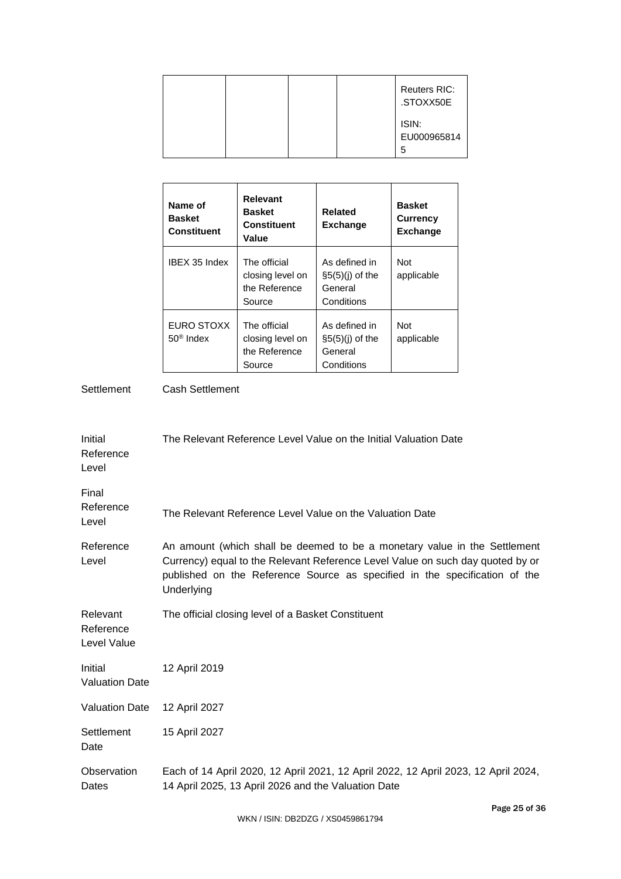|  |  | <b>Reuters RIC:</b><br>.STOXX50E |
|--|--|----------------------------------|
|  |  | ISIN:<br>EU000965814<br>5        |

| Name of<br><b>Basket</b><br><b>Constituent</b> | <b>Relevant</b><br><b>Basket</b><br><b>Constituent</b><br>Value | Related<br><b>Exchange</b>                                   | <b>Basket</b><br><b>Currency</b><br><b>Exchange</b> |
|------------------------------------------------|-----------------------------------------------------------------|--------------------------------------------------------------|-----------------------------------------------------|
| IBEX 35 Index                                  | The official<br>closing level on<br>the Reference<br>Source     | As defined in<br>$\S5(5)(i)$ of the<br>General<br>Conditions | Not<br>applicable                                   |
| EURO STOXX<br>$50^{\circ}$ Index               | The official<br>closing level on<br>the Reference<br>Source     | As defined in<br>$\S5(5)(i)$ of the<br>General<br>Conditions | Not<br>applicable                                   |

Settlement Cash Settlement

| Initial<br>Reference<br>Level        | The Relevant Reference Level Value on the Initial Valuation Date                                                                                                                                                                                        |
|--------------------------------------|---------------------------------------------------------------------------------------------------------------------------------------------------------------------------------------------------------------------------------------------------------|
| Final<br>Reference<br>Level          | The Relevant Reference Level Value on the Valuation Date                                                                                                                                                                                                |
| Reference<br>Level                   | An amount (which shall be deemed to be a monetary value in the Settlement<br>Currency) equal to the Relevant Reference Level Value on such day quoted by or<br>published on the Reference Source as specified in the specification of the<br>Underlying |
| Relevant<br>Reference<br>Level Value | The official closing level of a Basket Constituent                                                                                                                                                                                                      |
| Initial<br><b>Valuation Date</b>     | 12 April 2019                                                                                                                                                                                                                                           |
| <b>Valuation Date</b>                | 12 April 2027                                                                                                                                                                                                                                           |
| Settlement<br>Date                   | 15 April 2027                                                                                                                                                                                                                                           |
| Observation<br>Dates                 | Each of 14 April 2020, 12 April 2021, 12 April 2022, 12 April 2023, 12 April 2024,<br>14 April 2025, 13 April 2026 and the Valuation Date                                                                                                               |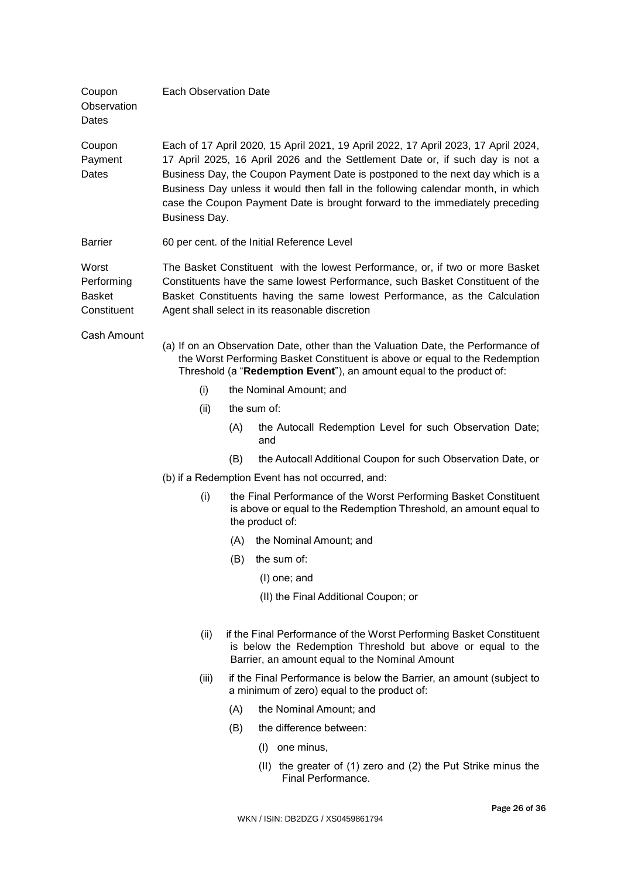| Coupon<br>Observation<br>Dates                      | <b>Each Observation Date</b>                                                                                                                                                                                                                                                                                                                                                                                                              |                |                                                                                                                                                                                                                                         |  |
|-----------------------------------------------------|-------------------------------------------------------------------------------------------------------------------------------------------------------------------------------------------------------------------------------------------------------------------------------------------------------------------------------------------------------------------------------------------------------------------------------------------|----------------|-----------------------------------------------------------------------------------------------------------------------------------------------------------------------------------------------------------------------------------------|--|
| Coupon<br>Payment<br>Dates                          | Each of 17 April 2020, 15 April 2021, 19 April 2022, 17 April 2023, 17 April 2024,<br>17 April 2025, 16 April 2026 and the Settlement Date or, if such day is not a<br>Business Day, the Coupon Payment Date is postponed to the next day which is a<br>Business Day unless it would then fall in the following calendar month, in which<br>case the Coupon Payment Date is brought forward to the immediately preceding<br>Business Day. |                |                                                                                                                                                                                                                                         |  |
| <b>Barrier</b>                                      |                                                                                                                                                                                                                                                                                                                                                                                                                                           |                | 60 per cent. of the Initial Reference Level                                                                                                                                                                                             |  |
| Worst<br>Performing<br><b>Basket</b><br>Constituent | The Basket Constituent with the lowest Performance, or, if two or more Basket<br>Constituents have the same lowest Performance, such Basket Constituent of the<br>Basket Constituents having the same lowest Performance, as the Calculation<br>Agent shall select in its reasonable discretion                                                                                                                                           |                |                                                                                                                                                                                                                                         |  |
| Cash Amount                                         |                                                                                                                                                                                                                                                                                                                                                                                                                                           |                | (a) If on an Observation Date, other than the Valuation Date, the Performance of<br>the Worst Performing Basket Constituent is above or equal to the Redemption<br>Threshold (a "Redemption Event"), an amount equal to the product of: |  |
|                                                     | (i)                                                                                                                                                                                                                                                                                                                                                                                                                                       |                | the Nominal Amount; and                                                                                                                                                                                                                 |  |
|                                                     | (ii)                                                                                                                                                                                                                                                                                                                                                                                                                                      |                | the sum of:                                                                                                                                                                                                                             |  |
|                                                     |                                                                                                                                                                                                                                                                                                                                                                                                                                           | (A)            | the Autocall Redemption Level for such Observation Date;<br>and                                                                                                                                                                         |  |
|                                                     |                                                                                                                                                                                                                                                                                                                                                                                                                                           | (B)            | the Autocall Additional Coupon for such Observation Date, or                                                                                                                                                                            |  |
|                                                     |                                                                                                                                                                                                                                                                                                                                                                                                                                           |                | (b) if a Redemption Event has not occurred, and:                                                                                                                                                                                        |  |
|                                                     | (i)                                                                                                                                                                                                                                                                                                                                                                                                                                       |                | the Final Performance of the Worst Performing Basket Constituent<br>is above or equal to the Redemption Threshold, an amount equal to<br>the product of:                                                                                |  |
|                                                     |                                                                                                                                                                                                                                                                                                                                                                                                                                           |                | (A) the Nominal Amount; and                                                                                                                                                                                                             |  |
|                                                     |                                                                                                                                                                                                                                                                                                                                                                                                                                           | (B)            | the sum of:                                                                                                                                                                                                                             |  |
|                                                     |                                                                                                                                                                                                                                                                                                                                                                                                                                           |                | (I) one; and                                                                                                                                                                                                                            |  |
|                                                     |                                                                                                                                                                                                                                                                                                                                                                                                                                           |                | (II) the Final Additional Coupon; or                                                                                                                                                                                                    |  |
|                                                     | (ii)                                                                                                                                                                                                                                                                                                                                                                                                                                      |                | if the Final Performance of the Worst Performing Basket Constituent<br>is below the Redemption Threshold but above or equal to the<br>Barrier, an amount equal to the Nominal Amount                                                    |  |
|                                                     | (iii)                                                                                                                                                                                                                                                                                                                                                                                                                                     |                | if the Final Performance is below the Barrier, an amount (subject to<br>a minimum of zero) equal to the product of:                                                                                                                     |  |
|                                                     |                                                                                                                                                                                                                                                                                                                                                                                                                                           | (A)            | the Nominal Amount; and                                                                                                                                                                                                                 |  |
|                                                     |                                                                                                                                                                                                                                                                                                                                                                                                                                           | (B)            | the difference between:                                                                                                                                                                                                                 |  |
|                                                     |                                                                                                                                                                                                                                                                                                                                                                                                                                           | (I) one minus, |                                                                                                                                                                                                                                         |  |
|                                                     |                                                                                                                                                                                                                                                                                                                                                                                                                                           |                | (II) the greater of (1) zero and (2) the Put Strike minus the<br>Final Performance.                                                                                                                                                     |  |
|                                                     |                                                                                                                                                                                                                                                                                                                                                                                                                                           |                | $Dao \alpha$                                                                                                                                                                                                                            |  |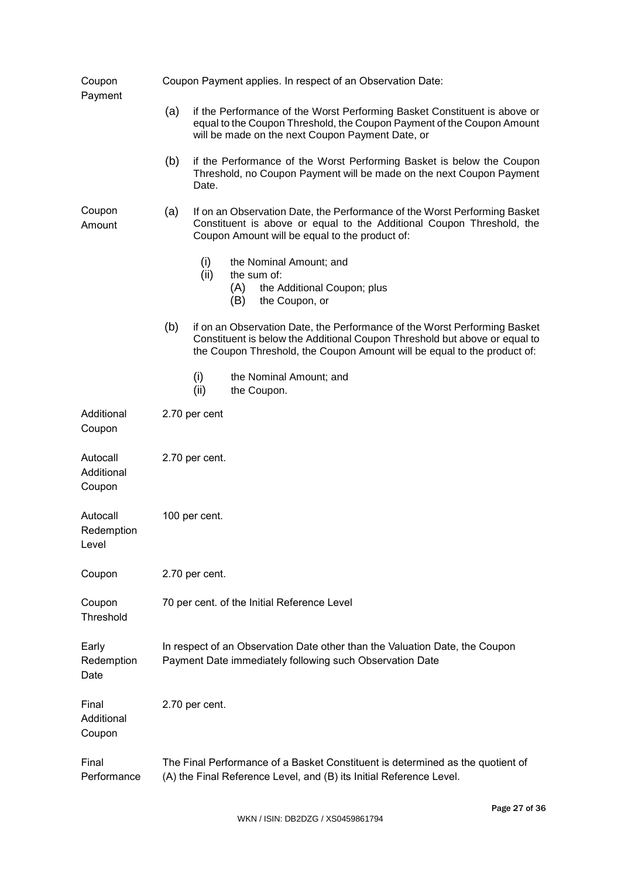| Coupon<br>Payment                | Coupon Payment applies. In respect of an Observation Date:                                                                                            |                                                                                                                                                                                                         |                                                                                                                                                                                                                                     |                                                                                                                                               |  |  |
|----------------------------------|-------------------------------------------------------------------------------------------------------------------------------------------------------|---------------------------------------------------------------------------------------------------------------------------------------------------------------------------------------------------------|-------------------------------------------------------------------------------------------------------------------------------------------------------------------------------------------------------------------------------------|-----------------------------------------------------------------------------------------------------------------------------------------------|--|--|
|                                  | (a)                                                                                                                                                   | if the Performance of the Worst Performing Basket Constituent is above or<br>equal to the Coupon Threshold, the Coupon Payment of the Coupon Amount<br>will be made on the next Coupon Payment Date, or |                                                                                                                                                                                                                                     |                                                                                                                                               |  |  |
|                                  | (b)                                                                                                                                                   | Date.                                                                                                                                                                                                   |                                                                                                                                                                                                                                     | if the Performance of the Worst Performing Basket is below the Coupon<br>Threshold, no Coupon Payment will be made on the next Coupon Payment |  |  |
| Coupon<br>Amount                 | (a)                                                                                                                                                   |                                                                                                                                                                                                         | If on an Observation Date, the Performance of the Worst Performing Basket<br>Constituent is above or equal to the Additional Coupon Threshold, the<br>Coupon Amount will be equal to the product of:                                |                                                                                                                                               |  |  |
|                                  |                                                                                                                                                       | (i)<br>(ii)                                                                                                                                                                                             | (A)<br>(B)                                                                                                                                                                                                                          | the Nominal Amount; and<br>the sum of:<br>the Additional Coupon; plus<br>the Coupon, or                                                       |  |  |
|                                  | (b)                                                                                                                                                   |                                                                                                                                                                                                         | if on an Observation Date, the Performance of the Worst Performing Basket<br>Constituent is below the Additional Coupon Threshold but above or equal to<br>the Coupon Threshold, the Coupon Amount will be equal to the product of: |                                                                                                                                               |  |  |
|                                  |                                                                                                                                                       | (i)<br>(ii)                                                                                                                                                                                             |                                                                                                                                                                                                                                     | the Nominal Amount; and<br>the Coupon.                                                                                                        |  |  |
| Additional<br>Coupon             |                                                                                                                                                       | 2.70 per cent                                                                                                                                                                                           |                                                                                                                                                                                                                                     |                                                                                                                                               |  |  |
| Autocall<br>Additional<br>Coupon | 2.70 per cent.                                                                                                                                        |                                                                                                                                                                                                         |                                                                                                                                                                                                                                     |                                                                                                                                               |  |  |
| Autocall<br>Redemption<br>Level  | 100 per cent.                                                                                                                                         |                                                                                                                                                                                                         |                                                                                                                                                                                                                                     |                                                                                                                                               |  |  |
| Coupon                           | 2.70 per cent.                                                                                                                                        |                                                                                                                                                                                                         |                                                                                                                                                                                                                                     |                                                                                                                                               |  |  |
| Coupon<br>Threshold              | 70 per cent. of the Initial Reference Level                                                                                                           |                                                                                                                                                                                                         |                                                                                                                                                                                                                                     |                                                                                                                                               |  |  |
| Early<br>Redemption<br>Date      | In respect of an Observation Date other than the Valuation Date, the Coupon<br>Payment Date immediately following such Observation Date               |                                                                                                                                                                                                         |                                                                                                                                                                                                                                     |                                                                                                                                               |  |  |
| Final<br>Additional<br>Coupon    |                                                                                                                                                       | 2.70 per cent.                                                                                                                                                                                          |                                                                                                                                                                                                                                     |                                                                                                                                               |  |  |
| Final<br>Performance             | The Final Performance of a Basket Constituent is determined as the quotient of<br>(A) the Final Reference Level, and (B) its Initial Reference Level. |                                                                                                                                                                                                         |                                                                                                                                                                                                                                     |                                                                                                                                               |  |  |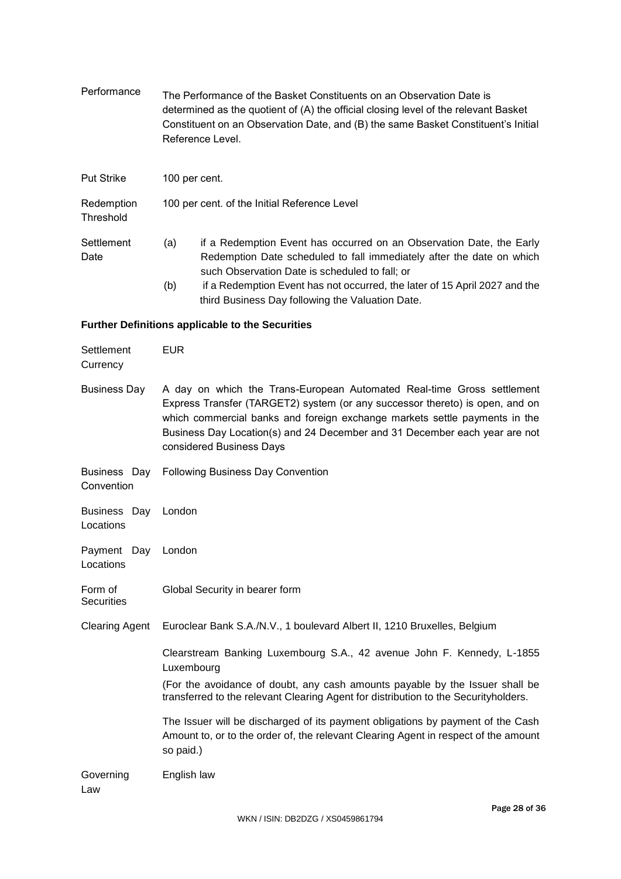| Performance             | The Performance of the Basket Constituents on an Observation Date is<br>determined as the quotient of (A) the official closing level of the relevant Basket<br>Constituent on an Observation Date, and (B) the same Basket Constituent's Initial<br>Reference Level. |  |
|-------------------------|----------------------------------------------------------------------------------------------------------------------------------------------------------------------------------------------------------------------------------------------------------------------|--|
| <b>Put Strike</b>       | 100 per cent.                                                                                                                                                                                                                                                        |  |
| Redemption<br>Threshold | 100 per cent. of the Initial Reference Level                                                                                                                                                                                                                         |  |
| Settlement<br>Date      | if a Redemption Event has occurred on an Observation Date, the Early<br>(a)<br>Redemption Date scheduled to fall immediately after the date on which<br>such Observation Date is scheduled to fall; or                                                               |  |
|                         | if a Redemption Event has not occurred, the later of 15 April 2027 and the<br>(b)<br>third Business Day following the Valuation Date.                                                                                                                                |  |

# **Further Definitions applicable to the Securities**

| Settlement<br>Currency           | <b>EUR</b>                                                                                                                                                                                                                                                                                                                                     |
|----------------------------------|------------------------------------------------------------------------------------------------------------------------------------------------------------------------------------------------------------------------------------------------------------------------------------------------------------------------------------------------|
| <b>Business Day</b>              | A day on which the Trans-European Automated Real-time Gross settlement<br>Express Transfer (TARGET2) system (or any successor thereto) is open, and on<br>which commercial banks and foreign exchange markets settle payments in the<br>Business Day Location(s) and 24 December and 31 December each year are not<br>considered Business Days |
| Business Day<br>Convention       | <b>Following Business Day Convention</b>                                                                                                                                                                                                                                                                                                       |
| Business Day London<br>Locations |                                                                                                                                                                                                                                                                                                                                                |
| Payment Day<br>Locations         | London                                                                                                                                                                                                                                                                                                                                         |
| Form of<br><b>Securities</b>     | Global Security in bearer form                                                                                                                                                                                                                                                                                                                 |
| <b>Clearing Agent</b>            | Euroclear Bank S.A./N.V., 1 boulevard Albert II, 1210 Bruxelles, Belgium                                                                                                                                                                                                                                                                       |
|                                  | Clearstream Banking Luxembourg S.A., 42 avenue John F. Kennedy, L-1855<br>Luxembourg                                                                                                                                                                                                                                                           |
|                                  | (For the avoidance of doubt, any cash amounts payable by the Issuer shall be<br>transferred to the relevant Clearing Agent for distribution to the Securityholders.                                                                                                                                                                            |
|                                  | The Issuer will be discharged of its payment obligations by payment of the Cash<br>Amount to, or to the order of, the relevant Clearing Agent in respect of the amount<br>so paid.)                                                                                                                                                            |
| Governing<br>Law                 | English law                                                                                                                                                                                                                                                                                                                                    |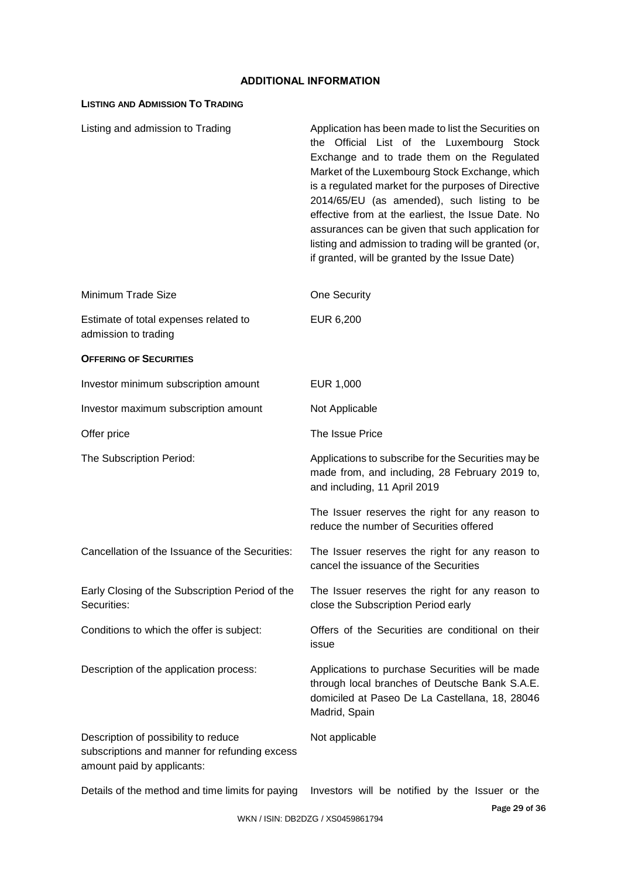# **ADDITIONAL INFORMATION**

# **LISTING AND ADMISSION TO TRADING**

| Listing and admission to Trading                                                                                    | Application has been made to list the Securities on<br>the Official List of the Luxembourg Stock<br>Exchange and to trade them on the Regulated<br>Market of the Luxembourg Stock Exchange, which<br>is a regulated market for the purposes of Directive<br>2014/65/EU (as amended), such listing to be<br>effective from at the earliest, the Issue Date. No<br>assurances can be given that such application for<br>listing and admission to trading will be granted (or,<br>if granted, will be granted by the Issue Date) |
|---------------------------------------------------------------------------------------------------------------------|-------------------------------------------------------------------------------------------------------------------------------------------------------------------------------------------------------------------------------------------------------------------------------------------------------------------------------------------------------------------------------------------------------------------------------------------------------------------------------------------------------------------------------|
| Minimum Trade Size                                                                                                  | One Security                                                                                                                                                                                                                                                                                                                                                                                                                                                                                                                  |
| Estimate of total expenses related to<br>admission to trading                                                       | EUR 6,200                                                                                                                                                                                                                                                                                                                                                                                                                                                                                                                     |
| <b>OFFERING OF SECURITIES</b>                                                                                       |                                                                                                                                                                                                                                                                                                                                                                                                                                                                                                                               |
| Investor minimum subscription amount                                                                                | EUR 1,000                                                                                                                                                                                                                                                                                                                                                                                                                                                                                                                     |
| Investor maximum subscription amount                                                                                | Not Applicable                                                                                                                                                                                                                                                                                                                                                                                                                                                                                                                |
| Offer price                                                                                                         | The Issue Price                                                                                                                                                                                                                                                                                                                                                                                                                                                                                                               |
| The Subscription Period:                                                                                            | Applications to subscribe for the Securities may be<br>made from, and including, 28 February 2019 to,<br>and including, 11 April 2019                                                                                                                                                                                                                                                                                                                                                                                         |
|                                                                                                                     | The Issuer reserves the right for any reason to<br>reduce the number of Securities offered                                                                                                                                                                                                                                                                                                                                                                                                                                    |
| Cancellation of the Issuance of the Securities:                                                                     | The Issuer reserves the right for any reason to<br>cancel the issuance of the Securities                                                                                                                                                                                                                                                                                                                                                                                                                                      |
| Early Closing of the Subscription Period of the<br>Securities:                                                      | The Issuer reserves the right for any reason to<br>close the Subscription Period early                                                                                                                                                                                                                                                                                                                                                                                                                                        |
| Conditions to which the offer is subject:                                                                           | Offers of the Securities are conditional on their<br>issue                                                                                                                                                                                                                                                                                                                                                                                                                                                                    |
| Description of the application process:                                                                             | Applications to purchase Securities will be made<br>through local branches of Deutsche Bank S.A.E.<br>domiciled at Paseo De La Castellana, 18, 28046<br>Madrid, Spain                                                                                                                                                                                                                                                                                                                                                         |
| Description of possibility to reduce<br>subscriptions and manner for refunding excess<br>amount paid by applicants: | Not applicable                                                                                                                                                                                                                                                                                                                                                                                                                                                                                                                |
| Details of the method and time limits for paying                                                                    | Investors will be notified by the Issuer or the                                                                                                                                                                                                                                                                                                                                                                                                                                                                               |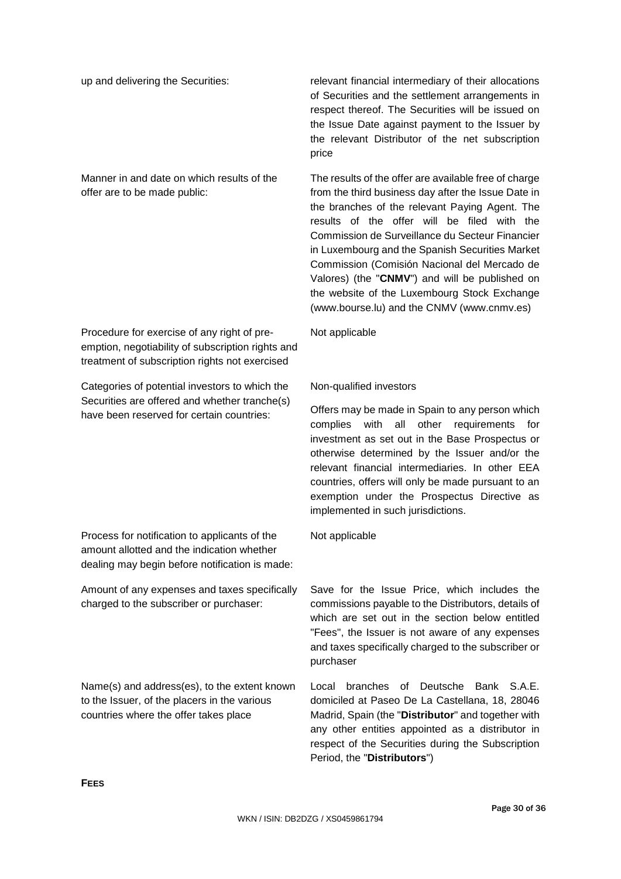Manner in and date on which results of the offer are to be made public:

Procedure for exercise of any right of preemption, negotiability of subscription rights and treatment of subscription rights not exercised

Categories of potential investors to which the Securities are offered and whether tranche(s) have been reserved for certain countries:

Process for notification to applicants of the amount allotted and the indication whether dealing may begin before notification is made:

Amount of any expenses and taxes specifically

Name(s) and address(es), to the extent known to the Issuer, of the placers in the various countries where the offer takes place

charged to the subscriber or purchaser:

up and delivering the Securities: relevant financial intermediary of their allocations of Securities and the settlement arrangements in respect thereof. The Securities will be issued on the Issue Date against payment to the Issuer by the relevant Distributor of the net subscription price

> The results of the offer are available free of charge from the third business day after the Issue Date in the branches of the relevant Paying Agent. The results of the offer will be filed with the Commission de Surveillance du Secteur Financier in Luxembourg and the Spanish Securities Market Commission (Comisión Nacional del Mercado de Valores) (the "**CNMV**") and will be published on the website of the Luxembourg Stock Exchange (www.bourse.lu) and the CNMV (www.cnmv.es)

Not applicable

# Non-qualified investors

Offers may be made in Spain to any person which complies with all other requirements for investment as set out in the Base Prospectus or otherwise determined by the Issuer and/or the relevant financial intermediaries. In other EEA countries, offers will only be made pursuant to an exemption under the Prospectus Directive as implemented in such jurisdictions.

Not applicable

Save for the Issue Price, which includes the commissions payable to the Distributors, details of which are set out in the section below entitled "Fees", the Issuer is not aware of any expenses and taxes specifically charged to the subscriber or purchaser

Local branches of Deutsche Bank S.A.E. domiciled at Paseo De La Castellana, 18, 28046 Madrid, Spain (the "**Distributor**" and together with any other entities appointed as a distributor in respect of the Securities during the Subscription Period, the "**Distributors**")

**FEES**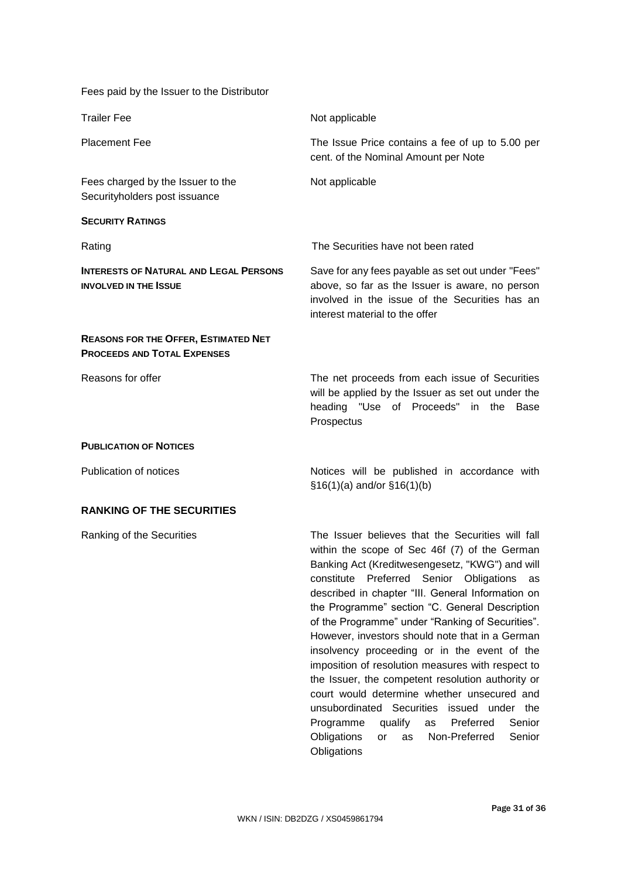Fees paid by the Issuer to the Distributor

| <b>Trailer Fee</b>                                                                | Not applicable                                                                                                                                                                                                                                                                                                |
|-----------------------------------------------------------------------------------|---------------------------------------------------------------------------------------------------------------------------------------------------------------------------------------------------------------------------------------------------------------------------------------------------------------|
| <b>Placement Fee</b>                                                              | The Issue Price contains a fee of up to 5.00 per<br>cent. of the Nominal Amount per Note                                                                                                                                                                                                                      |
| Fees charged by the Issuer to the<br>Securityholders post issuance                | Not applicable                                                                                                                                                                                                                                                                                                |
| <b>SECURITY RATINGS</b>                                                           |                                                                                                                                                                                                                                                                                                               |
| Rating                                                                            | The Securities have not been rated                                                                                                                                                                                                                                                                            |
| <b>INTERESTS OF NATURAL AND LEGAL PERSONS</b><br><b>INVOLVED IN THE ISSUE</b>     | Save for any fees payable as set out under "Fees"<br>above, so far as the Issuer is aware, no person<br>involved in the issue of the Securities has an<br>interest material to the offer                                                                                                                      |
| <b>REASONS FOR THE OFFER, ESTIMATED NET</b><br><b>PROCEEDS AND TOTAL EXPENSES</b> |                                                                                                                                                                                                                                                                                                               |
| Reasons for offer                                                                 | The net proceeds from each issue of Securities<br>will be applied by the Issuer as set out under the<br>heading "Use of Proceeds" in the<br>Base<br>Prospectus                                                                                                                                                |
| <b>PUBLICATION OF NOTICES</b>                                                     |                                                                                                                                                                                                                                                                                                               |
| Publication of notices                                                            | Notices will be published in accordance with<br>$$16(1)(a)$ and/or $$16(1)(b)$                                                                                                                                                                                                                                |
| <b>RANKING OF THE SECURITIES</b>                                                  |                                                                                                                                                                                                                                                                                                               |
| Ranking of the Securities                                                         | The Issuer believes that the Securities will fall<br>within the scope of Sec 46f (7) of the German<br>Banking Act (Kreditwesengesetz, "KWG") and will<br>constitute Preferred Senior Obligations<br>as<br>described in chapter "III. General Information on<br>the Programme" section "C. General Description |

**Obligations** 

of the Programme" under "Ranking of Securities". However, investors should note that in a German insolvency proceeding or in the event of the imposition of resolution measures with respect to the Issuer, the competent resolution authority or court would determine whether unsecured and unsubordinated Securities issued under the Programme qualify as Preferred Senior Obligations or as Non-Preferred Senior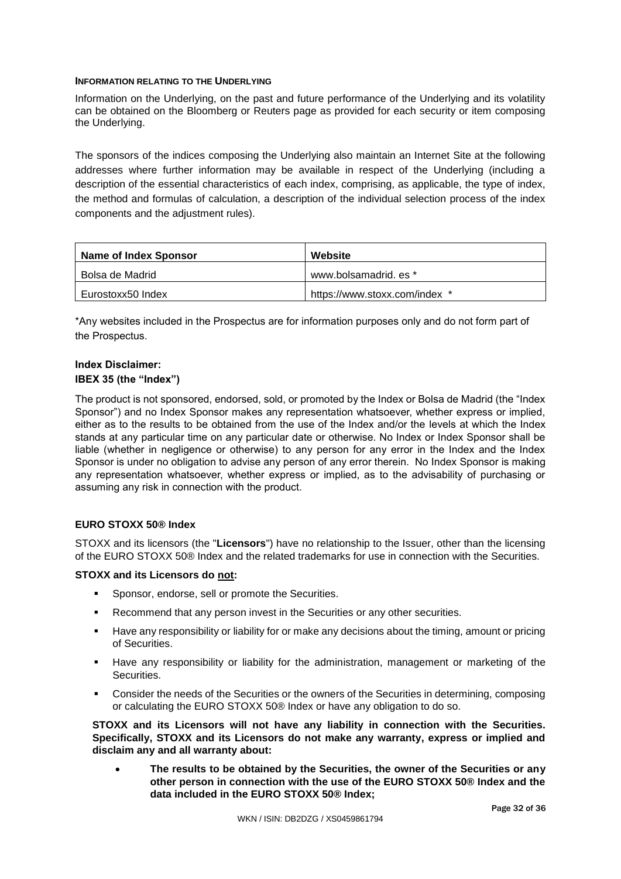## **INFORMATION RELATING TO THE UNDERLYING**

Information on the Underlying, on the past and future performance of the Underlying and its volatility can be obtained on the Bloomberg or Reuters page as provided for each security or item composing the Underlying.

The sponsors of the indices composing the Underlying also maintain an Internet Site at the following addresses where further information may be available in respect of the Underlying (including a description of the essential characteristics of each index, comprising, as applicable, the type of index, the method and formulas of calculation, a description of the individual selection process of the index components and the adjustment rules).

| <b>Name of Index Sponsor</b> | Website                       |
|------------------------------|-------------------------------|
| Bolsa de Madrid              | www.bolsamadrid. es *         |
| Eurostoxx50 Index            | https://www.stoxx.com/index * |

\*Any websites included in the Prospectus are for information purposes only and do not form part of the Prospectus.

# **Index Disclaimer: IBEX 35 (the "Index")**

The product is not sponsored, endorsed, sold, or promoted by the Index or Bolsa de Madrid (the "Index Sponsor") and no Index Sponsor makes any representation whatsoever, whether express or implied, either as to the results to be obtained from the use of the Index and/or the levels at which the Index stands at any particular time on any particular date or otherwise. No Index or Index Sponsor shall be liable (whether in negligence or otherwise) to any person for any error in the Index and the Index Sponsor is under no obligation to advise any person of any error therein. No Index Sponsor is making any representation whatsoever, whether express or implied, as to the advisability of purchasing or assuming any risk in connection with the product.

# **EURO STOXX 50® Index**

STOXX and its licensors (the "**Licensors**") have no relationship to the Issuer, other than the licensing of the EURO STOXX 50® Index and the related trademarks for use in connection with the Securities.

# **STOXX and its Licensors do not:**

- **Sponsor, endorse, sell or promote the Securities.**
- **Recommend that any person invest in the Securities or any other securities.**
- Have any responsibility or liability for or make any decisions about the timing, amount or pricing of Securities.
- Have any responsibility or liability for the administration, management or marketing of the **Securities**
- Consider the needs of the Securities or the owners of the Securities in determining, composing or calculating the EURO STOXX 50® Index or have any obligation to do so.

**STOXX and its Licensors will not have any liability in connection with the Securities. Specifically, STOXX and its Licensors do not make any warranty, express or implied and disclaim any and all warranty about:**

 **The results to be obtained by the Securities, the owner of the Securities or any other person in connection with the use of the EURO STOXX 50® Index and the data included in the EURO STOXX 50® Index;**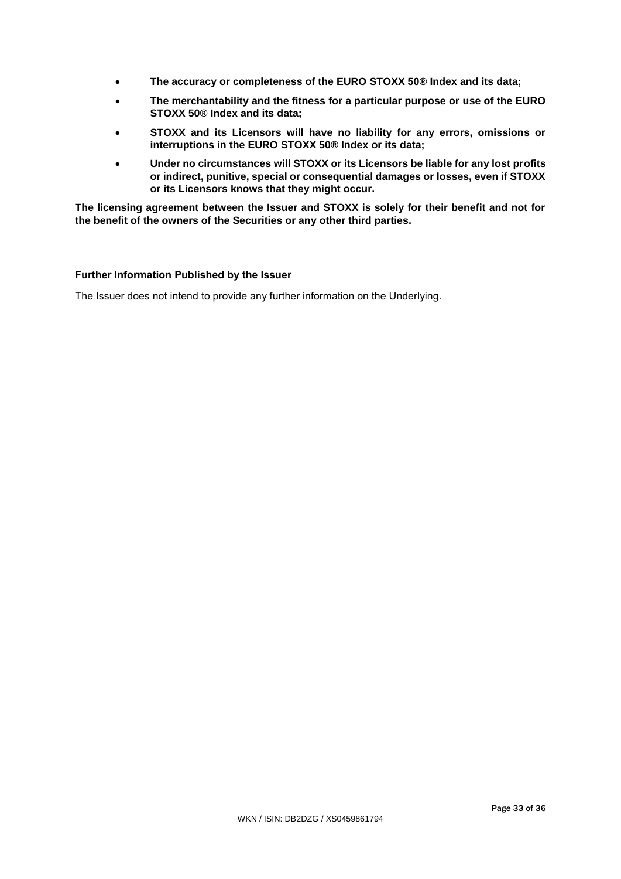- **The accuracy or completeness of the EURO STOXX 50® Index and its data;**
- **The merchantability and the fitness for a particular purpose or use of the EURO STOXX 50® Index and its data;**
- **STOXX and its Licensors will have no liability for any errors, omissions or interruptions in the EURO STOXX 50® Index or its data;**
- **Under no circumstances will STOXX or its Licensors be liable for any lost profits or indirect, punitive, special or consequential damages or losses, even if STOXX or its Licensors knows that they might occur.**

**The licensing agreement between the Issuer and STOXX is solely for their benefit and not for the benefit of the owners of the Securities or any other third parties.**

## **Further Information Published by the Issuer**

The Issuer does not intend to provide any further information on the Underlying.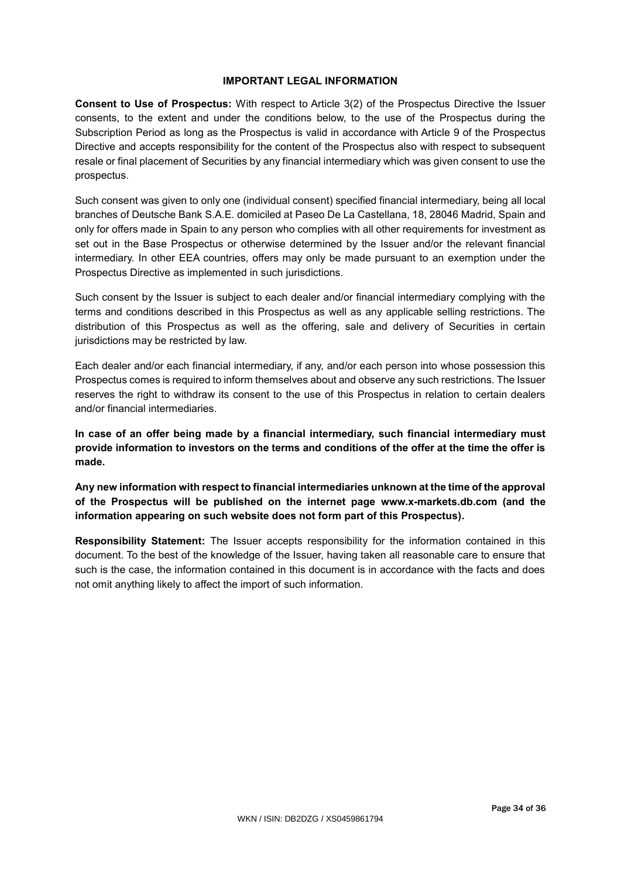# **IMPORTANT LEGAL INFORMATION**

**Consent to Use of Prospectus:** With respect to Article 3(2) of the Prospectus Directive the Issuer consents, to the extent and under the conditions below, to the use of the Prospectus during the Subscription Period as long as the Prospectus is valid in accordance with Article 9 of the Prospectus Directive and accepts responsibility for the content of the Prospectus also with respect to subsequent resale or final placement of Securities by any financial intermediary which was given consent to use the prospectus.

Such consent was given to only one (individual consent) specified financial intermediary, being all local branches of Deutsche Bank S.A.E. domiciled at Paseo De La Castellana, 18, 28046 Madrid, Spain and only for offers made in Spain to any person who complies with all other requirements for investment as set out in the Base Prospectus or otherwise determined by the Issuer and/or the relevant financial intermediary. In other EEA countries, offers may only be made pursuant to an exemption under the Prospectus Directive as implemented in such jurisdictions.

Such consent by the Issuer is subject to each dealer and/or financial intermediary complying with the terms and conditions described in this Prospectus as well as any applicable selling restrictions. The distribution of this Prospectus as well as the offering, sale and delivery of Securities in certain jurisdictions may be restricted by law.

Each dealer and/or each financial intermediary, if any, and/or each person into whose possession this Prospectus comes is required to inform themselves about and observe any such restrictions. The Issuer reserves the right to withdraw its consent to the use of this Prospectus in relation to certain dealers and/or financial intermediaries.

**In case of an offer being made by a financial intermediary, such financial intermediary must provide information to investors on the terms and conditions of the offer at the time the offer is made.**

**Any new information with respect to financial intermediaries unknown at the time of the approval of the Prospectus will be published on the internet page www.x-markets.db.com (and the information appearing on such website does not form part of this Prospectus).**

**Responsibility Statement:** The Issuer accepts responsibility for the information contained in this document. To the best of the knowledge of the Issuer, having taken all reasonable care to ensure that such is the case, the information contained in this document is in accordance with the facts and does not omit anything likely to affect the import of such information.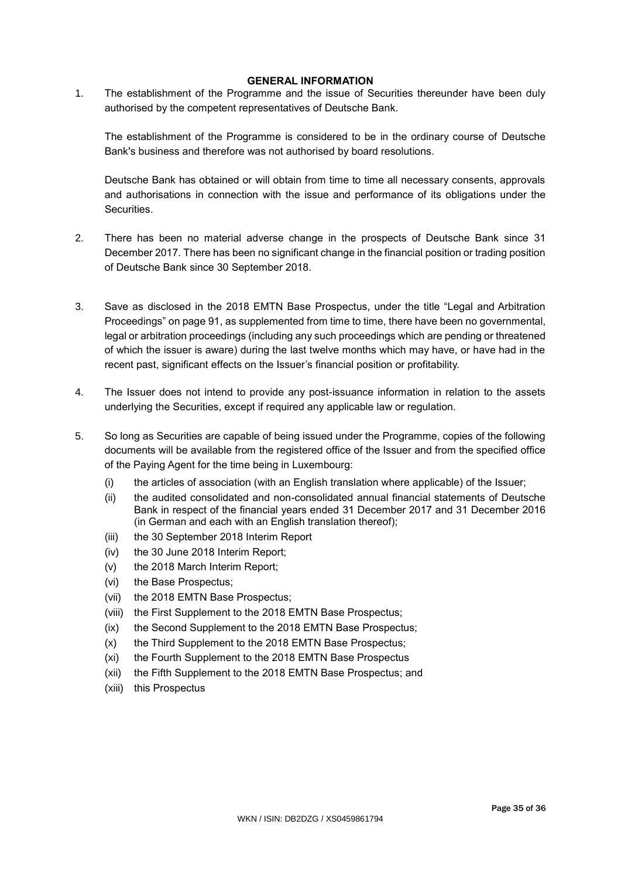## **GENERAL INFORMATION**

1. The establishment of the Programme and the issue of Securities thereunder have been duly authorised by the competent representatives of Deutsche Bank.

The establishment of the Programme is considered to be in the ordinary course of Deutsche Bank's business and therefore was not authorised by board resolutions.

Deutsche Bank has obtained or will obtain from time to time all necessary consents, approvals and authorisations in connection with the issue and performance of its obligations under the **Securities** 

- 2. There has been no material adverse change in the prospects of Deutsche Bank since 31 December 2017. There has been no significant change in the financial position or trading position of Deutsche Bank since 30 September 2018.
- 3. Save as disclosed in the 2018 EMTN Base Prospectus, under the title "Legal and Arbitration Proceedings" on page 91, as supplemented from time to time, there have been no governmental, legal or arbitration proceedings (including any such proceedings which are pending or threatened of which the issuer is aware) during the last twelve months which may have, or have had in the recent past, significant effects on the Issuer's financial position or profitability.
- 4. The Issuer does not intend to provide any post-issuance information in relation to the assets underlying the Securities, except if required any applicable law or regulation.
- 5. So long as Securities are capable of being issued under the Programme, copies of the following documents will be available from the registered office of the Issuer and from the specified office of the Paying Agent for the time being in Luxembourg:
	- (i) the articles of association (with an English translation where applicable) of the Issuer;
	- (ii) the audited consolidated and non-consolidated annual financial statements of Deutsche Bank in respect of the financial years ended 31 December 2017 and 31 December 2016 (in German and each with an English translation thereof);
	- (iii) the 30 September 2018 Interim Report
	- (iv) the 30 June 2018 Interim Report;
	- (v) the 2018 March Interim Report;
	- (vi) the Base Prospectus;
	- (vii) the 2018 EMTN Base Prospectus;
	- (viii) the First Supplement to the 2018 EMTN Base Prospectus;
	- (ix) the Second Supplement to the 2018 EMTN Base Prospectus;
	- (x) the Third Supplement to the 2018 EMTN Base Prospectus;
	- (xi) the Fourth Supplement to the 2018 EMTN Base Prospectus
	- (xii) the Fifth Supplement to the 2018 EMTN Base Prospectus; and
	- (xiii) this Prospectus